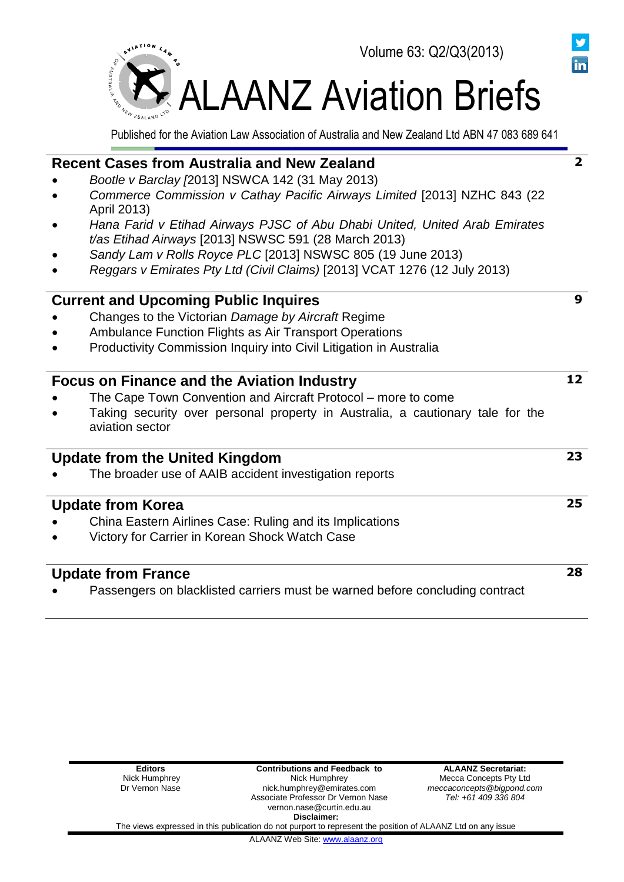

În

Published for the Aviation Law Association of Australia and New Zealand Ltd ABN 47 083 689 641

| <b>Recent Cases from Australia and New Zealand</b>                                                                                 | $\mathbf{2}$ |
|------------------------------------------------------------------------------------------------------------------------------------|--------------|
| Bootle v Barclay [2013] NSWCA 142 (31 May 2013)                                                                                    |              |
| Commerce Commission v Cathay Pacific Airways Limited [2013] NZHC 843 (22<br>April 2013)                                            |              |
| Hana Farid v Etihad Airways PJSC of Abu Dhabi United, United Arab Emirates<br>t/as Etihad Airways [2013] NSWSC 591 (28 March 2013) |              |
| Sandy Lam v Rolls Royce PLC [2013] NSWSC 805 (19 June 2013)                                                                        |              |
| Reggars v Emirates Pty Ltd (Civil Claims) [2013] VCAT 1276 (12 July 2013)                                                          |              |
| <b>Current and Upcoming Public Inquires</b>                                                                                        | 9            |
| Changes to the Victorian Damage by Aircraft Regime                                                                                 |              |
| Ambulance Function Flights as Air Transport Operations                                                                             |              |
| Productivity Commission Inquiry into Civil Litigation in Australia                                                                 |              |
| <b>Focus on Finance and the Aviation Industry</b>                                                                                  | 12           |
| The Cape Town Convention and Aircraft Protocol – more to come                                                                      |              |
| Taking security over personal property in Australia, a cautionary tale for the<br>aviation sector                                  |              |
| <b>Update from the United Kingdom</b>                                                                                              | 23           |
| The broader use of AAIB accident investigation reports                                                                             |              |
| <b>Update from Korea</b>                                                                                                           | 25           |
| China Eastern Airlines Case: Ruling and its Implications                                                                           |              |
| Victory for Carrier in Korean Shock Watch Case                                                                                     |              |
| <b>Update from France</b>                                                                                                          | 28           |
| Passengers on blacklisted carriers must be warned before concluding contract                                                       |              |
|                                                                                                                                    |              |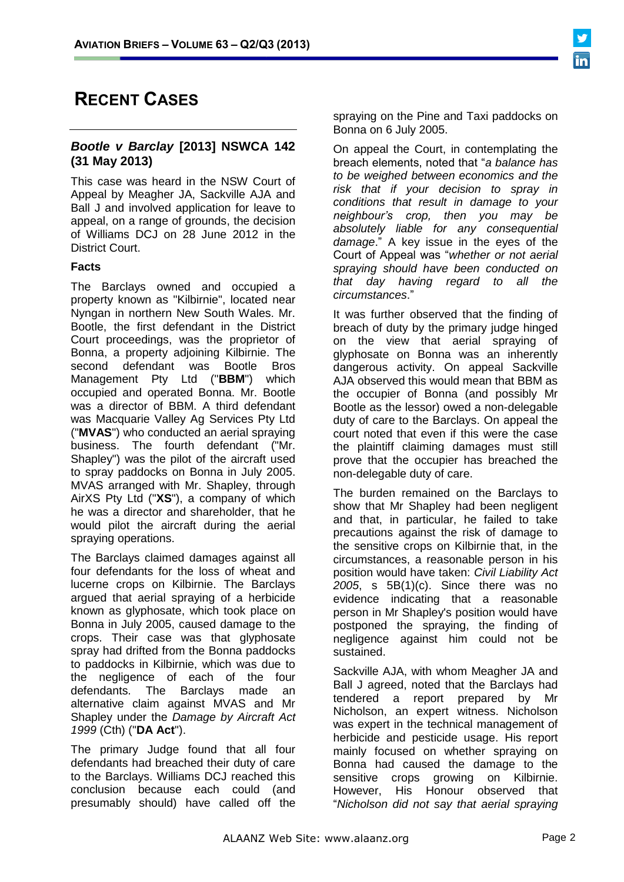# **RECENT CASES**

### *Bootle v Barclay* **[2013] NSWCA 142 (31 May 2013)**

This case was heard in the NSW Court of Appeal by Meagher JA, Sackville AJA and Ball J and involved application for leave to appeal, on a range of grounds, the decision of Williams DCJ on 28 June 2012 in the District Court.

### **Facts**

The Barclays owned and occupied a property known as "Kilbirnie", located near Nyngan in northern New South Wales. Mr. Bootle, the first defendant in the District Court proceedings, was the proprietor of Bonna, a property adjoining Kilbirnie. The second defendant was Bootle Bros Management Pty Ltd ("**BBM**") which occupied and operated Bonna. Mr. Bootle was a director of BBM. A third defendant was Macquarie Valley Ag Services Pty Ltd ("**MVAS**") who conducted an aerial spraying business. The fourth defendant ("Mr. Shapley") was the pilot of the aircraft used to spray paddocks on Bonna in July 2005. MVAS arranged with Mr. Shapley, through AirXS Pty Ltd ("**XS**"), a company of which he was a director and shareholder, that he would pilot the aircraft during the aerial spraying operations.

The Barclays claimed damages against all four defendants for the loss of wheat and lucerne crops on Kilbirnie. The Barclays argued that aerial spraying of a herbicide known as glyphosate, which took place on Bonna in July 2005, caused damage to the crops. Their case was that glyphosate spray had drifted from the Bonna paddocks to paddocks in Kilbirnie, which was due to the negligence of each of the four defendants. The Barclays made an alternative claim against MVAS and Mr Shapley under the *Damage by Aircraft Act 1999* (Cth) ("**DA Act**").

The primary Judge found that all four defendants had breached their duty of care to the Barclays. Williams DCJ reached this conclusion because each could (and presumably should) have called off the spraying on the Pine and Taxi paddocks on Bonna on 6 July 2005.

On appeal the Court, in contemplating the breach elements, noted that "*a balance has to be weighed between economics and the risk that if your decision to spray in conditions that result in damage to your neighbour's crop, then you may be absolutely liable for any consequential damage*." A key issue in the eyes of the Court of Appeal was "*whether or not aerial spraying should have been conducted on that day having regard to all the circumstances*."

It was further observed that the finding of breach of duty by the primary judge hinged on the view that aerial spraying of glyphosate on Bonna was an inherently dangerous activity. On appeal Sackville AJA observed this would mean that BBM as the occupier of Bonna (and possibly Mr Bootle as the lessor) owed a non-delegable duty of care to the Barclays. On appeal the court noted that even if this were the case the plaintiff claiming damages must still prove that the occupier has breached the non-delegable duty of care.

The burden remained on the Barclays to show that Mr Shapley had been negligent and that, in particular, he failed to take precautions against the risk of damage to the sensitive crops on Kilbirnie that, in the circumstances, a reasonable person in his position would have taken: *Civil Liability Act 2005*, s 5B(1)(c). Since there was no evidence indicating that a reasonable person in Mr Shapley's position would have postponed the spraying, the finding of negligence against him could not be sustained.

Sackville AJA, with whom Meagher JA and Ball J agreed, noted that the Barclays had tendered a report prepared by Mr Nicholson, an expert witness. Nicholson was expert in the technical management of herbicide and pesticide usage. His report mainly focused on whether spraying on Bonna had caused the damage to the sensitive crops growing on Kilbirnie. However, His Honour observed that "*Nicholson did not say that aerial spraying*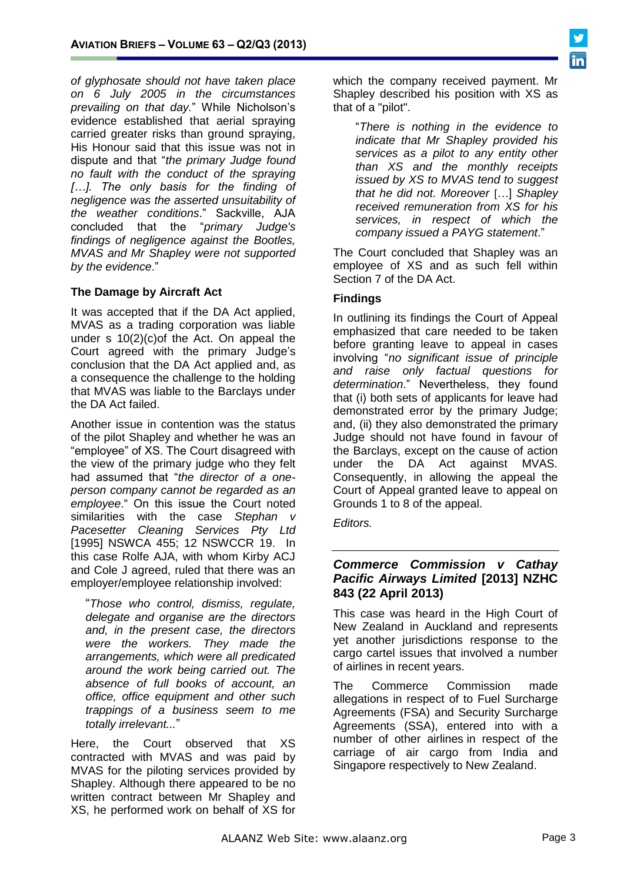*of glyphosate should not have taken place on 6 July 2005 in the circumstances prevailing on that day.*" While Nicholson's evidence established that aerial spraying carried greater risks than ground spraying, His Honour said that this issue was not in dispute and that "*the primary Judge found no fault with the conduct of the spraying […]. The only basis for the finding of negligence was the asserted unsuitability of the weather conditions*." Sackville, AJA concluded that the "*primary Judge's findings of negligence against the Bootles, MVAS and Mr Shapley were not supported by the evidence*."

# **The Damage by Aircraft Act**

It was accepted that if the DA Act applied, MVAS as a trading corporation was liable under s 10(2)(c)of the Act. On appeal the Court agreed with the primary Judge's conclusion that the DA Act applied and, as a consequence the challenge to the holding that MVAS was liable to the Barclays under the DA Act failed.

Another issue in contention was the status of the pilot Shapley and whether he was an "employee" of XS. The Court disagreed with the view of the primary judge who they felt had assumed that "*the director of a oneperson company cannot be regarded as an employee*." On this issue the Court noted similarities with the case *Stephan v Pacesetter Cleaning Services Pty Ltd*  [1995] NSWCA 455; 12 NSWCCR 19. In this case Rolfe AJA, with whom Kirby ACJ and Cole J agreed, ruled that there was an employer/employee relationship involved:

"*Those who control, dismiss, regulate, delegate and organise are the directors and, in the present case, the directors were the workers. They made the arrangements, which were all predicated around the work being carried out. The absence of full books of account, an office, office equipment and other such trappings of a business seem to me totally irrelevant...*"

Here, the Court observed that XS contracted with MVAS and was paid by MVAS for the piloting services provided by Shapley. Although there appeared to be no written contract between Mr Shapley and XS, he performed work on behalf of XS for

which the company received payment. Mr Shapley described his position with XS as that of a "pilot".

"*There is nothing in the evidence to indicate that Mr Shapley provided his services as a pilot to any entity other than XS and the monthly receipts issued by XS to MVAS tend to suggest that he did not. Moreover* [*…*] *Shapley received remuneration from XS for his services, in respect of which the company issued a PAYG statement*."

The Court concluded that Shapley was an employee of XS and as such fell within Section 7 of the DA Act.

# **Findings**

In outlining its findings the Court of Appeal emphasized that care needed to be taken before granting leave to appeal in cases involving "*no significant issue of principle and raise only factual questions for determination*." Nevertheless, they found that (i) both sets of applicants for leave had demonstrated error by the primary Judge; and, (ii) they also demonstrated the primary Judge should not have found in favour of the Barclays, except on the cause of action under the DA Act against MVAS. Consequently, in allowing the appeal the Court of Appeal granted leave to appeal on Grounds 1 to 8 of the appeal.

*Editors.*

### *Commerce Commission v Cathay Pacific Airways Limited* **[2013] NZHC 843 (22 April 2013)**

This case was heard in the High Court of New Zealand in Auckland and represents yet another jurisdictions response to the cargo cartel issues that involved a number of airlines in recent years.

The Commerce Commission made allegations in respect of to Fuel Surcharge Agreements (FSA) and Security Surcharge Agreements (SSA), entered into with a number of other airlines in respect of the carriage of air cargo from India and Singapore respectively to New Zealand.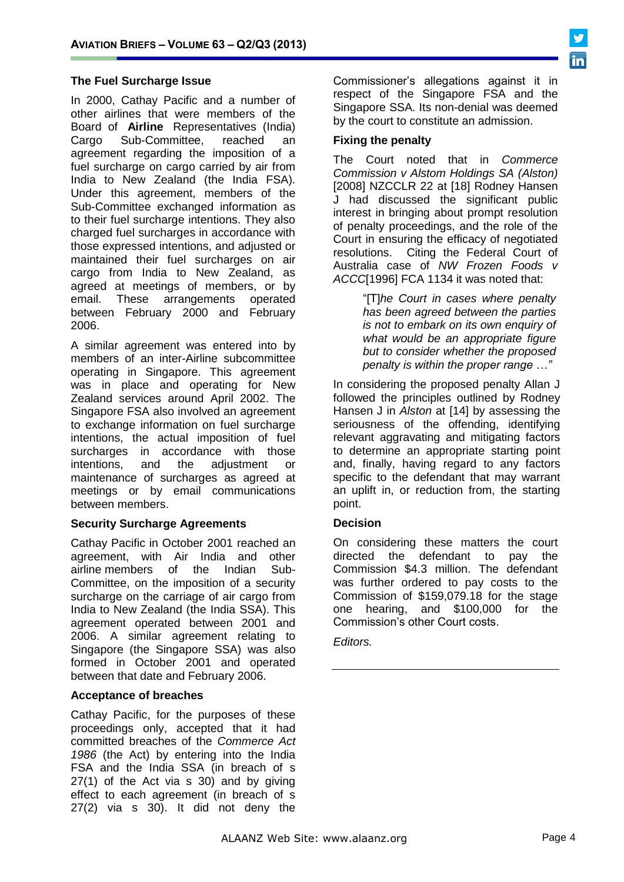# **The Fuel Surcharge Issue**

In 2000, Cathay Pacific and a number of other airlines that were members of the Board of **Airline** Representatives (India) Cargo Sub-Committee, reached an agreement regarding the imposition of a fuel surcharge on cargo carried by air from India to New Zealand (the India FSA). Under this agreement, members of the Sub-Committee exchanged information as to their fuel surcharge intentions. They also charged fuel surcharges in accordance with those expressed intentions, and adjusted or maintained their fuel surcharges on air cargo from India to New Zealand, as agreed at meetings of members, or by email. These arrangements operated between February 2000 and February 2006.

A similar agreement was entered into by members of an inter-Airline subcommittee operating in Singapore. This agreement was in place and operating for New Zealand services around April 2002. The Singapore FSA also involved an agreement to exchange information on fuel surcharge intentions, the actual imposition of fuel surcharges in accordance with those intentions, and the adjustment or maintenance of surcharges as agreed at meetings or by email communications between members.

#### **Security Surcharge Agreements**

Cathay Pacific in October 2001 reached an agreement, with Air India and other airline members of the Indian Sub-Committee, on the imposition of a security surcharge on the carriage of air cargo from India to New Zealand (the India SSA). This agreement operated between 2001 and 2006. A similar agreement relating to Singapore (the Singapore SSA) was also formed in October 2001 and operated between that date and February 2006.

# **Acceptance of breaches**

Cathay Pacific, for the purposes of these proceedings only, accepted that it had committed breaches of the *Commerce Act 1986* (the Act) by entering into the India FSA and the India SSA (in breach of s 27(1) of the Act via s 30) and by giving effect to each agreement (in breach of s 27(2) via s 30). It did not deny the

Commissioner's allegations against it in respect of the Singapore FSA and the Singapore SSA. Its non-denial was deemed by the court to constitute an admission.

#### **Fixing the penalty**

The Court noted that in *Commerce Commission v Alstom Holdings SA (Alston)*  [2008] NZCCLR 22 at [18] Rodney Hansen J had discussed the significant public interest in bringing about prompt resolution of penalty proceedings, and the role of the Court in ensuring the efficacy of negotiated resolutions. Citing the Federal Court of Australia case of *NW Frozen Foods v ACCC*[1996] FCA 1134 it was noted that:

> "[T]*he Court in cases where penalty has been agreed between the parties is not to embark on its own enquiry of what would be an appropriate figure but to consider whether the proposed penalty is within the proper range …"*

In considering the proposed penalty Allan J followed the principles outlined by Rodney Hansen J in *Alston* at [14] by assessing the seriousness of the offending, identifying relevant aggravating and mitigating factors to determine an appropriate starting point and, finally, having regard to any factors specific to the defendant that may warrant an uplift in, or reduction from, the starting point.

# **Decision**

On considering these matters the court directed the defendant to pay the Commission \$4.3 million. The defendant was further ordered to pay costs to the Commission of \$159,079.18 for the stage one hearing, and \$100,000 for the Commission's other Court costs.

#### *Editors.*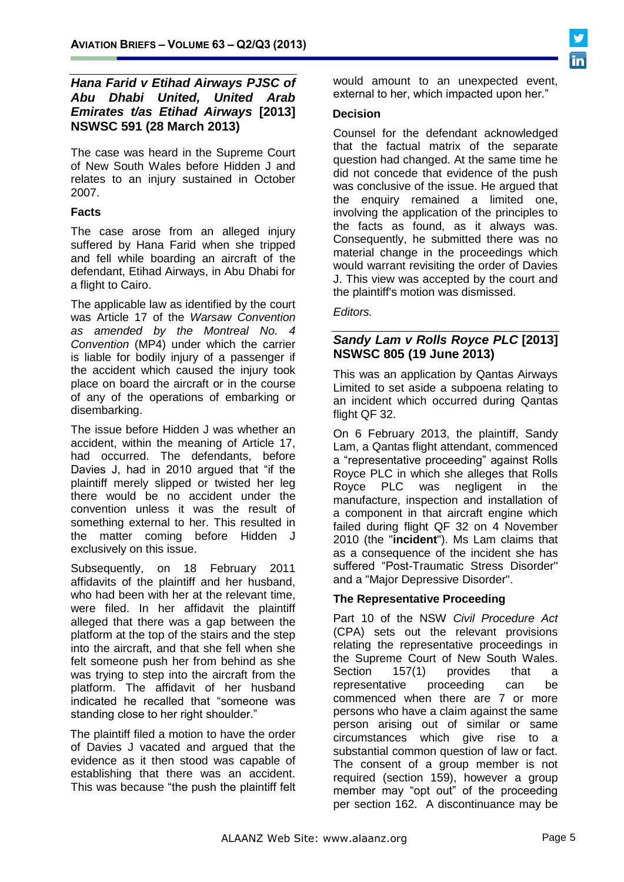# *Hana Farid v Etihad Airways PJSC of Abu Dhabi United, United Arab Emirates t/as Etihad Airways* **[2013] NSWSC 591 (28 March 2013)**

The case was heard in the Supreme Court of New South Wales before Hidden J and relates to an injury sustained in October 2007.

# **Facts**

The case arose from an alleged injury suffered by Hana Farid when she tripped and fell while boarding an aircraft of the defendant, Etihad Airways, in Abu Dhabi for a flight to Cairo.

The applicable law as identified by the court was Article 17 of the *Warsaw Convention as amended by the Montreal No. 4 Convention* (MP4) under which the carrier is liable for bodily injury of a passenger if the accident which caused the injury took place on board the aircraft or in the course of any of the operations of embarking or disembarking.

The issue before Hidden J was whether an accident, within the meaning of Article 17, had occurred. The defendants, before Davies J, had in 2010 argued that "if the plaintiff merely slipped or twisted her leg there would be no accident under the convention unless it was the result of something external to her. This resulted in the matter coming before Hidden J exclusively on this issue.

Subsequently, on 18 February 2011 affidavits of the plaintiff and her husband, who had been with her at the relevant time, were filed. In her affidavit the plaintiff alleged that there was a gap between the platform at the top of the stairs and the step into the aircraft, and that she fell when she felt someone push her from behind as she was trying to step into the aircraft from the platform. The affidavit of her husband indicated he recalled that "someone was standing close to her right shoulder."

The plaintiff filed a motion to have the order of Davies J vacated and argued that the evidence as it then stood was capable of establishing that there was an accident. This was because "the push the plaintiff felt would amount to an unexpected event, external to her, which impacted upon her."

#### **Decision**

Counsel for the defendant acknowledged that the factual matrix of the separate question had changed. At the same time he did not concede that evidence of the push was conclusive of the issue. He argued that the enquiry remained a limited one, involving the application of the principles to the facts as found, as it always was. Consequently, he submitted there was no material change in the proceedings which would warrant revisiting the order of Davies J. This view was accepted by the court and the plaintiff's motion was dismissed.

### *Editors.*

# *Sandy Lam v Rolls Royce PLC* **[2013] NSWSC 805 (19 June 2013)**

This was an application by Qantas Airways Limited to set aside a subpoena relating to an incident which occurred during Qantas flight QF 32.

On 6 February 2013, the plaintiff, Sandy Lam, a Qantas flight attendant, commenced a "representative proceeding" against Rolls Royce PLC in which she alleges that Rolls Royce PLC was negligent in the manufacture, inspection and installation of a component in that aircraft engine which failed during flight QF 32 on 4 November 2010 (the "**incident**"). Ms Lam claims that as a consequence of the incident she has suffered "Post-Traumatic Stress Disorder" and a "Major Depressive Disorder".

# **The Representative Proceeding**

Part 10 of the NSW *Civil Procedure Act* (CPA) sets out the relevant provisions relating the representative proceedings in the Supreme Court of New South Wales. Section 157(1) provides that a representative proceeding can be commenced when there are 7 or more persons who have a claim against the same person arising out of similar or same circumstances which give rise to a substantial common question of law or fact. The consent of a group member is not required (section 159), however a group member may "opt out" of the proceeding per section 162. A discontinuance may be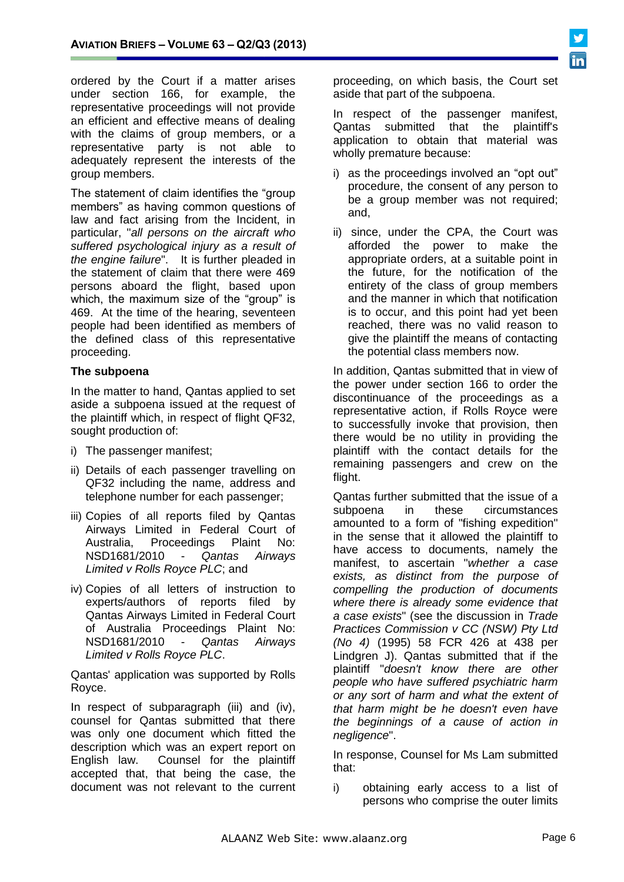ordered by the Court if a matter arises under section 166, for example, the representative proceedings will not provide an efficient and effective means of dealing with the claims of group members, or a representative party is not able to adequately represent the interests of the group members.

The statement of claim identifies the "group members" as having common questions of law and fact arising from the Incident, in particular, "*all persons on the aircraft who suffered psychological injury as a result of the engine failure*". It is further pleaded in the statement of claim that there were 469 persons aboard the flight, based upon which, the maximum size of the "group" is 469. At the time of the hearing, seventeen people had been identified as members of the defined class of this representative proceeding.

#### **The subpoena**

In the matter to hand, Qantas applied to set aside a subpoena issued at the request of the plaintiff which, in respect of flight QF32, sought production of:

- i) The passenger manifest;
- ii) Details of each passenger travelling on QF32 including the name, address and telephone number for each passenger;
- iii) Copies of all reports filed by Qantas Airways Limited in Federal Court of Australia, Proceedings Plaint No: NSD1681/2010 - *Qantas Airways Limited v Rolls Royce PLC*; and
- iv) Copies of all letters of instruction to experts/authors of reports filed by Qantas Airways Limited in Federal Court of Australia Proceedings Plaint No: NSD1681/2010 - *Qantas Airways Limited v Rolls Royce PLC*.

Qantas' application was supported by Rolls Royce.

In respect of subparagraph (iii) and (iv), counsel for Qantas submitted that there was only one document which fitted the description which was an expert report on English law. Counsel for the plaintiff accepted that, that being the case, the document was not relevant to the current

proceeding, on which basis, the Court set aside that part of the subpoena.

In respect of the passenger manifest, Qantas submitted that the plaintiff's application to obtain that material was wholly premature because:

- i) as the proceedings involved an "opt out" procedure, the consent of any person to be a group member was not required; and,
- ii) since, under the CPA, the Court was afforded the power to make the appropriate orders, at a suitable point in the future, for the notification of the entirety of the class of group members and the manner in which that notification is to occur, and this point had yet been reached, there was no valid reason to give the plaintiff the means of contacting the potential class members now.

In addition, Qantas submitted that in view of the power under section 166 to order the discontinuance of the proceedings as a representative action, if Rolls Royce were to successfully invoke that provision, then there would be no utility in providing the plaintiff with the contact details for the remaining passengers and crew on the flight.

Qantas further submitted that the issue of a subpoena in these circumstances amounted to a form of "fishing expedition" in the sense that it allowed the plaintiff to have access to documents, namely the manifest, to ascertain "*whether a case exists, as distinct from the purpose of compelling the production of documents where there is already some evidence that a case exists*" (see the discussion in *Trade Practices Commission v CC (NSW) Pty Ltd (No 4)* (1995) 58 FCR 426 at 438 per Lindgren J). Qantas submitted that if the plaintiff "*doesn't know there are other people who have suffered psychiatric harm or any sort of harm and what the extent of that harm might be he doesn't even have the beginnings of a cause of action in negligence*".

In response, Counsel for Ms Lam submitted that:

i) obtaining early access to a list of persons who comprise the outer limits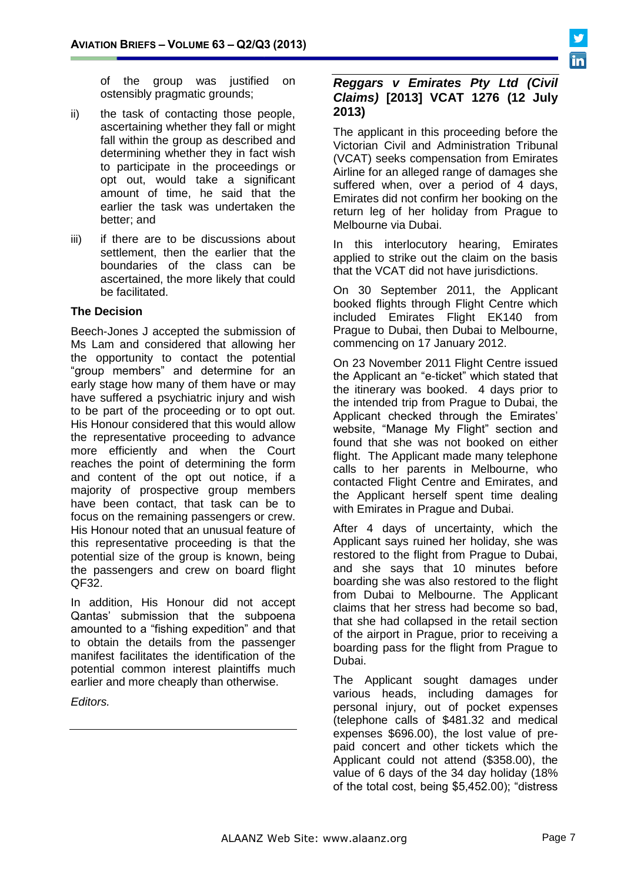of the group was justified on ostensibly pragmatic grounds;

- ii) the task of contacting those people, ascertaining whether they fall or might fall within the group as described and determining whether they in fact wish to participate in the proceedings or opt out, would take a significant amount of time, he said that the earlier the task was undertaken the better; and
- iii) if there are to be discussions about settlement, then the earlier that the boundaries of the class can be ascertained, the more likely that could be facilitated.

#### **The Decision**

Beech-Jones J accepted the submission of Ms Lam and considered that allowing her the opportunity to contact the potential "group members" and determine for an early stage how many of them have or may have suffered a psychiatric injury and wish to be part of the proceeding or to opt out. His Honour considered that this would allow the representative proceeding to advance more efficiently and when the Court reaches the point of determining the form and content of the opt out notice, if a majority of prospective group members have been contact, that task can be to focus on the remaining passengers or crew. His Honour noted that an unusual feature of this representative proceeding is that the potential size of the group is known, being the passengers and crew on board flight QF32.

In addition, His Honour did not accept Qantas' submission that the subpoena amounted to a "fishing expedition" and that to obtain the details from the passenger manifest facilitates the identification of the potential common interest plaintiffs much earlier and more cheaply than otherwise.

*Editors.*

### *Reggars v Emirates Pty Ltd (Civil Claims)* **[2013] VCAT 1276 (12 July 2013)**

The applicant in this proceeding before the Victorian Civil and Administration Tribunal (VCAT) seeks compensation from Emirates Airline for an alleged range of damages she suffered when, over a period of 4 days, Emirates did not confirm her booking on the return leg of her holiday from Prague to Melbourne via Dubai.

In this interlocutory hearing, Emirates applied to strike out the claim on the basis that the VCAT did not have jurisdictions.

On 30 September 2011, the Applicant booked flights through Flight Centre which included Emirates Flight EK140 from Prague to Dubai, then Dubai to Melbourne, commencing on 17 January 2012.

On 23 November 2011 Flight Centre issued the Applicant an "e-ticket" which stated that the itinerary was booked. 4 days prior to the intended trip from Prague to Dubai, the Applicant checked through the Emirates' website, "Manage My Flight" section and found that she was not booked on either flight. The Applicant made many telephone calls to her parents in Melbourne, who contacted Flight Centre and Emirates, and the Applicant herself spent time dealing with Emirates in Prague and Dubai.

After 4 days of uncertainty, which the Applicant says ruined her holiday, she was restored to the flight from Prague to Dubai, and she says that 10 minutes before boarding she was also restored to the flight from Dubai to Melbourne. The Applicant claims that her stress had become so bad, that she had collapsed in the retail section of the airport in Prague, prior to receiving a boarding pass for the flight from Prague to Dubai.

The Applicant sought damages under various heads, including damages for personal injury, out of pocket expenses (telephone calls of \$481.32 and medical expenses \$696.00), the lost value of prepaid concert and other tickets which the Applicant could not attend (\$358.00), the value of 6 days of the 34 day holiday (18% of the total cost, being \$5,452.00); "distress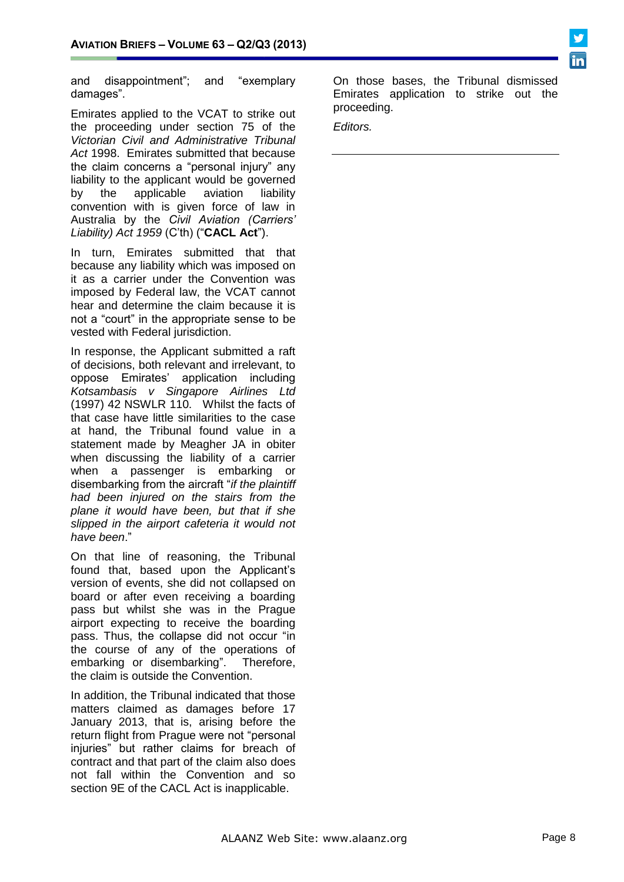

and disappointment"; and "exemplary damages".

Emirates applied to the VCAT to strike out the proceeding under [section 75](http://www.austlii.edu.au/au/legis/vic/consol_act/vcaata1998428/s75.html) of the *[Victorian Civil and Administrative Tribunal](http://www.austlii.edu.au/au/legis/vic/consol_act/vcaata1998428/)  Act* [1998.](http://www.austlii.edu.au/au/legis/vic/consol_act/vcaata1998428/) Emirates submitted that because the claim concerns a "personal injury" any liability to the applicant would be governed by the applicable aviation liability convention with is given force of law in Australia by the *[Civil Aviation \(Carriers'](http://www.austlii.edu.au/au/legis/cth/consol_act/cala1959327/)  [Liability\) Act 1959](http://www.austlii.edu.au/au/legis/cth/consol_act/cala1959327/)* (C'th) ("**CACL Act**").

In turn, Emirates submitted that that because any liability which was imposed on it as a carrier under the Convention was imposed by Federal law, the VCAT cannot hear and determine the claim because it is not a "court" in the appropriate sense to be vested with Federal jurisdiction.

In response, the Applicant submitted a raft of decisions, both relevant and irrelevant, to oppose Emirates' application including *Kotsambasis v Singapore Airlines Ltd* (1997) 42 NSWLR 110. Whilst the facts of that case have little similarities to the case at hand, the Tribunal found value in a statement made by Meagher JA in obiter when discussing the liability of a carrier when a passenger is embarking or disembarking from the aircraft "*if the plaintiff had been injured on the stairs from the plane it would have been, but that if she slipped in the airport cafeteria it would not have been*."

On that line of reasoning, the Tribunal found that, based upon the Applicant's version of events, she did not collapsed on board or after even receiving a boarding pass but whilst she was in the Prague airport expecting to receive the boarding pass. Thus, the collapse did not occur "in the course of any of the operations of embarking or disembarking". Therefore, the claim is outside the Convention.

In addition, the Tribunal indicated that those matters claimed as damages before 17 January 2013, that is, arising before the return flight from Prague were not "personal injuries" but rather claims for breach of contract and that part of the claim also does not fall within the Convention and so section 9E of the CACL Act is inapplicable.

On those bases, the Tribunal dismissed Emirates application to strike out the proceeding.

*Editors.*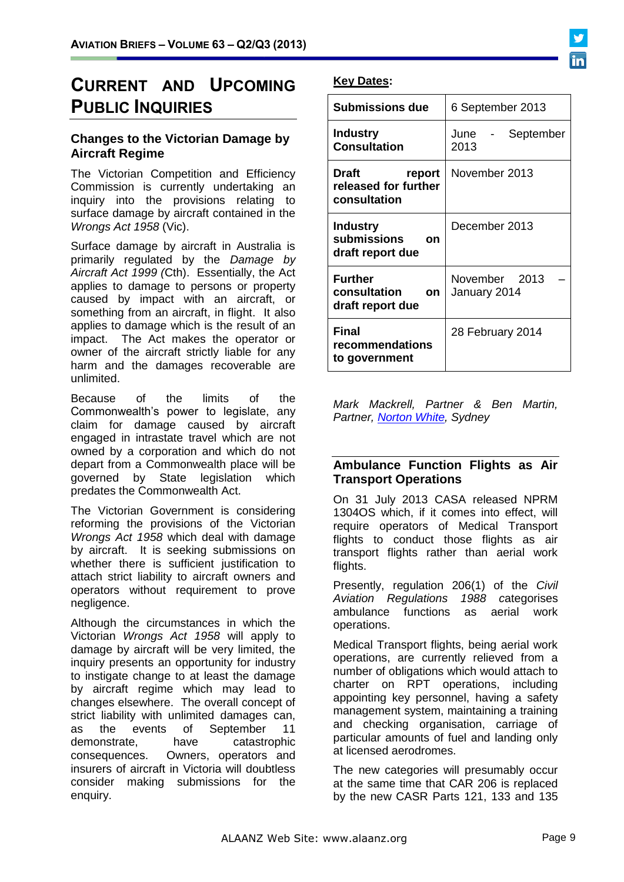# **CURRENT AND UPCOMING PUBLIC INQUIRIES**

# **Changes to the Victorian Damage by Aircraft Regime**

The Victorian Competition and Efficiency Commission is currently undertaking an inquiry into the provisions relating to surface damage by aircraft contained in the *Wrongs Act 1958* (Vic).

Surface damage by aircraft in Australia is primarily regulated by the *Damage by Aircraft Act 1999 (*Cth). Essentially, the Act applies to damage to persons or property caused by impact with an aircraft, or something from an aircraft, in flight. It also applies to damage which is the result of an impact. The Act makes the operator or owner of the aircraft strictly liable for any harm and the damages recoverable are unlimited.

Because of the limits of the Commonwealth's power to legislate, any claim for damage caused by aircraft engaged in intrastate travel which are not owned by a corporation and which do not depart from a Commonwealth place will be governed by State legislation which predates the Commonwealth Act.

The Victorian Government is considering reforming the provisions of the Victorian *Wrongs Act 1958* which deal with damage by aircraft. It is seeking submissions on whether there is sufficient justification to attach strict liability to aircraft owners and operators without requirement to prove negligence.

Although the circumstances in which the Victorian *Wrongs Act 1958* will apply to damage by aircraft will be very limited, the inquiry presents an opportunity for industry to instigate change to at least the damage by aircraft regime which may lead to changes elsewhere. The overall concept of strict liability with unlimited damages can, as the events of September 11 demonstrate, have catastrophic consequences. Owners, operators and insurers of aircraft in Victoria will doubtless consider making submissions for the enquiry.

# **Key Dates:**

| <b>Submissions due</b>                                   | 6 September 2013              |
|----------------------------------------------------------|-------------------------------|
| <b>Industry</b><br><b>Consultation</b>                   | June<br>September<br>2013     |
| Draft<br>report<br>released for further<br>consultation  | November 2013                 |
| <b>Industry</b><br>submissions<br>on<br>draft report due | December 2013                 |
| <b>Further</b><br>consultation<br>on<br>draft report due | November 2013<br>January 2014 |
| Final<br>recommendations<br>to government                | 28 February 2014              |

*Mark Mackrell, Partner & Ben Martin, Partner, [Norton White,](http://www.nortonwhite.com/) Sydney*

### **Ambulance Function Flights as Air Transport Operations**

On 31 July 2013 CASA released NPRM 1304OS which, if it comes into effect, will require operators of Medical Transport flights to conduct those flights as air transport flights rather than aerial work flights.

Presently, regulation 206(1) of the *Civil Aviation Regulations 1988 c*ategorises ambulance functions as aerial work operations.

Medical Transport flights, being aerial work operations, are currently relieved from a number of obligations which would attach to charter on RPT operations, including appointing key personnel, having a safety management system, maintaining a training and checking organisation, carriage of particular amounts of fuel and landing only at licensed aerodromes.

The new categories will presumably occur at the same time that CAR 206 is replaced by the new CASR Parts 121, 133 and 135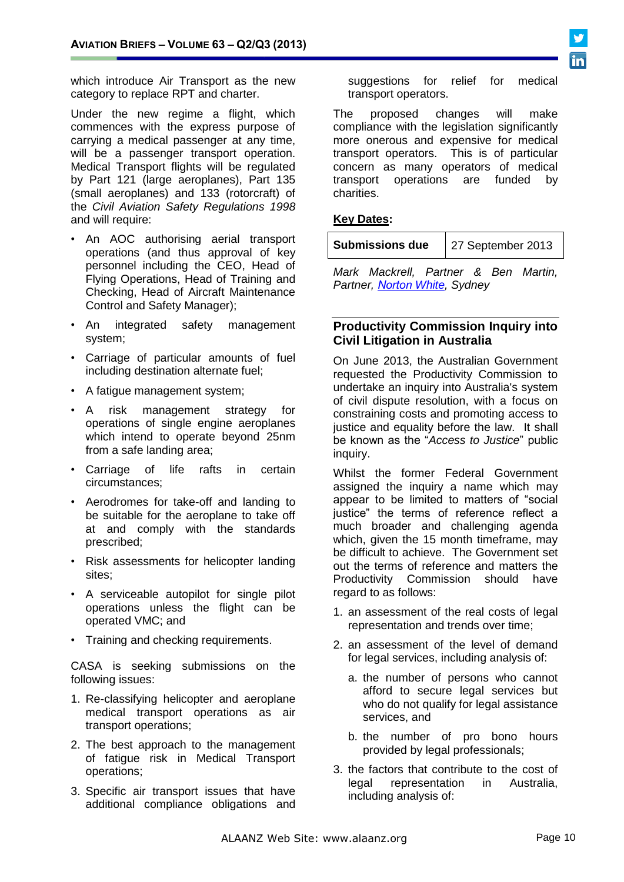which introduce Air Transport as the new category to replace RPT and charter.

Under the new regime a flight, which commences with the express purpose of carrying a medical passenger at any time, will be a passenger transport operation. Medical Transport flights will be regulated by Part 121 (large aeroplanes), Part 135 (small aeroplanes) and 133 (rotorcraft) of the *Civil Aviation Safety Regulations 1998* and will require:

- An AOC authorising aerial transport operations (and thus approval of key personnel including the CEO, Head of Flying Operations, Head of Training and Checking, Head of Aircraft Maintenance Control and Safety Manager);
- An integrated safety management system;
- Carriage of particular amounts of fuel including destination alternate fuel;
- A fatigue management system;
- A risk management strategy for operations of single engine aeroplanes which intend to operate beyond 25nm from a safe landing area;
- Carriage of life rafts in certain circumstances;
- Aerodromes for take-off and landing to be suitable for the aeroplane to take off at and comply with the standards prescribed;
- Risk assessments for helicopter landing sites;
- A serviceable autopilot for single pilot operations unless the flight can be operated VMC; and
- Training and checking requirements.

CASA is seeking submissions on the following issues:

- 1. Re-classifying helicopter and aeroplane medical transport operations as air transport operations;
- 2. The best approach to the management of fatigue risk in Medical Transport operations;
- 3. Specific air transport issues that have additional compliance obligations and

suggestions for relief for medical transport operators.

The proposed changes will make compliance with the legislation significantly more onerous and expensive for medical transport operators. This is of particular concern as many operators of medical transport operations are funded by charities.

### **Key Dates:**

| <b>Submissions due</b> | 27 September 2013 |
|------------------------|-------------------|
|------------------------|-------------------|

*Mark Mackrell, Partner & Ben Martin, Partner, [Norton](http://www.nortonwhite.com/) White, Sydney*

#### **Productivity Commission Inquiry into Civil Litigation in Australia**

On June 2013, the Australian Government requested the Productivity Commission to undertake an inquiry into Australia's system of civil dispute resolution, with a focus on constraining costs and promoting access to justice and equality before the law. It shall be known as the "*Access to Justice*" public inquiry.

Whilst the former Federal Government assigned the inquiry a name which may appear to be limited to matters of "social justice" the terms of reference reflect a much broader and challenging agenda which, given the 15 month timeframe, may be difficult to achieve. The Government set out the terms of reference and matters the Productivity Commission should have regard to as follows:

- 1. an assessment of the real costs of legal representation and trends over time;
- 2. an assessment of the level of demand for legal services, including analysis of:
	- a. the number of persons who cannot afford to secure legal services but who do not qualify for legal assistance services, and
	- b. the number of pro bono hours provided by legal professionals;
- 3. the factors that contribute to the cost of legal representation in Australia, including analysis of: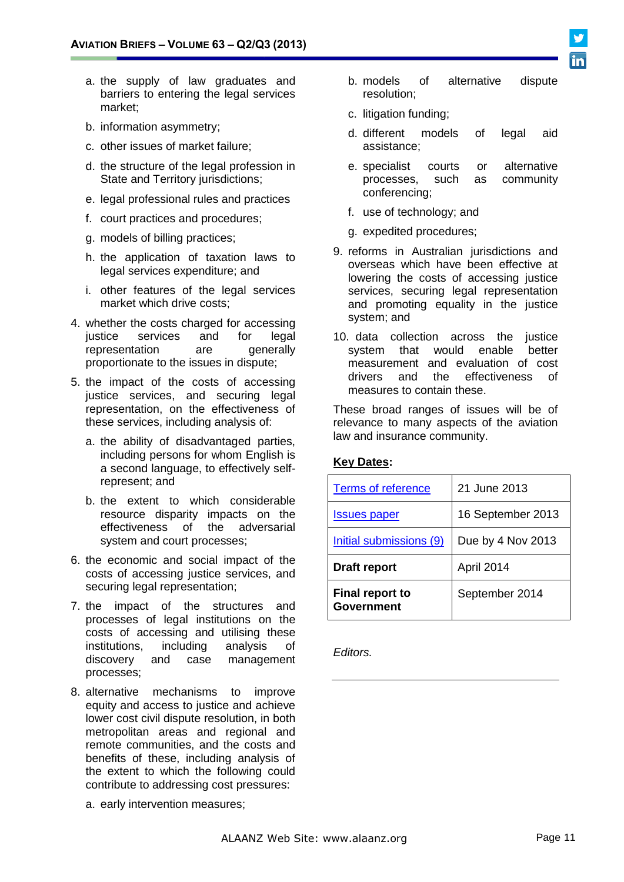- b. models of alternative dispute
- a. the supply of law graduates and barriers to entering the legal services market;
- b. information asymmetry;
- c. other issues of market failure;
- d. the structure of the legal profession in State and Territory jurisdictions;
- e. legal professional rules and practices
- f. court practices and procedures;
- g. models of billing practices;
- h. the application of taxation laws to legal services expenditure; and
- i. other features of the legal services market which drive costs;
- 4. whether the costs charged for accessing<br>justice services and for leaal services and for legal representation are generally proportionate to the issues in dispute;
- 5. the impact of the costs of accessing justice services, and securing legal representation, on the effectiveness of these services, including analysis of:
	- a. the ability of disadvantaged parties, including persons for whom English is a second language, to effectively selfrepresent; and
	- b. the extent to which considerable resource disparity impacts on the effectiveness of the adversarial system and court processes;
- 6. the economic and social impact of the costs of accessing justice services, and securing legal representation;
- 7. the impact of the structures and processes of legal institutions on the costs of accessing and utilising these institutions, including analysis of discovery and case management processes;
- 8. alternative mechanisms to improve equity and access to justice and achieve lower cost civil dispute resolution, in both metropolitan areas and regional and remote communities, and the costs and benefits of these, including analysis of the extent to which the following could contribute to addressing cost pressures:
	- a. early intervention measures;
- resolution; c. litigation funding;
- d. different models of legal aid assistance;
- e. specialist courts or alternative processes, such as community conferencing;
- f. use of technology; and
- g. expedited procedures;
- 9. reforms in Australian jurisdictions and overseas which have been effective at lowering the costs of accessing justice services, securing legal representation and promoting equality in the justice system; and
- 10. data collection across the justice system that would enable better measurement and evaluation of cost drivers and the effectiveness of measures to contain these.

These broad ranges of issues will be of relevance to many aspects of the aviation law and insurance community.

# **Key Dates:**

| <b>Terms of reference</b>                   | 21 June 2013      |
|---------------------------------------------|-------------------|
| <u>Issues paper</u>                         | 16 September 2013 |
| Initial submissions (9)                     | Due by 4 Nov 2013 |
| <b>Draft report</b>                         | April 2014        |
| <b>Final report to</b><br><b>Government</b> | September 2014    |

*Editors.*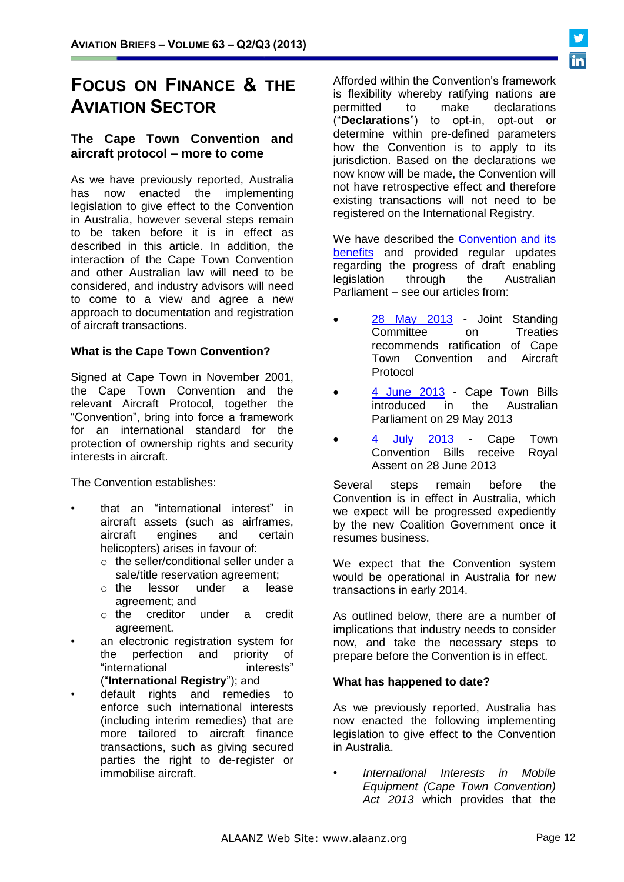# **FOCUS ON FINANCE & THE AVIATION SECTOR**

# **The Cape Town Convention and aircraft protocol – more to come**

As we have previously reported, Australia has now enacted the implementing legislation to give effect to the Convention in Australia, however several steps remain to be taken before it is in effect as described in this article. In addition, the interaction of the Cape Town Convention and other Australian law will need to be considered, and industry advisors will need to come to a view and agree a new approach to documentation and registration of aircraft transactions.

#### **What is the Cape Town Convention?**

Signed at Cape Town in November 2001, the Cape Town Convention and the relevant Aircraft Protocol, together the "Convention", bring into force a framework for an international standard for the protection of ownership rights and security interests in aircraft.

The Convention establishes:

- that an "international interest" in aircraft assets (such as airframes, aircraft engines and certain helicopters) arises in favour of:
	- o the seller/conditional seller under a sale/title reservation agreement;
	- o the lessor under a lease agreement; and
	- o the creditor under a credit agreement.
- an electronic registration system for the perfection and priority of "international interests" ("**International Registry**"); and
- default rights and remedies to enforce such international interests (including interim remedies) that are more tailored to aircraft finance transactions, such as giving secured parties the right to de-register or immobilise aircraft.

Afforded within the Convention's framework is flexibility whereby ratifying nations are permitted to make declarations ("**Declarations**") to opt-in, opt-out or determine within pre-defined parameters how the Convention is to apply to its jurisdiction. Based on the declarations we now know will be made, the Convention will not have retrospective effect and therefore existing transactions will not need to be registered on the International Registry.

We have described the [Convention and its](http://www.mallesons.com/publications/marketAlerts/2012/Pages/Australian-Government-announces-implementation-of-Cape-Town-by-2014-a-positive-development-for-the-aircraft-sector.aspx)  [benefits](http://www.mallesons.com/publications/marketAlerts/2012/Pages/Australian-Government-announces-implementation-of-Cape-Town-by-2014-a-positive-development-for-the-aircraft-sector.aspx) and provided regular updates regarding the progress of draft enabling legislation through the Australian Parliament – see our articles from:

- [28 May 2013](http://www.mallesons.com/publications/marketAlerts/2013/Pages/Joint-Standing-Committee-on-Treaties-recommends-ratification-of-Cape-Town-Convention-and-Aircraft-Protocol.aspx) Joint Standing Committee on Treaties recommends ratification of Cape Town Convention and Aircraft Protocol
- [4 June 2013](http://www.mallesons.com/publications/marketAlerts/2013/Pages/Cape-Town-Bills-introduced-in-the-Australian-Parliament-on-29-May-2013.aspx) Cape Town Bills introduced in the Australian Parliament on 29 May 2013
- July 2013 Cape Town Convention Bills receive Royal Assent on 28 June 2013

Several steps remain before the Convention is in effect in Australia, which we expect will be progressed expediently by the new Coalition Government once it resumes business.

We expect that the Convention system would be operational in Australia for new transactions in early 2014.

As outlined below, there are a number of implications that industry needs to consider now, and take the necessary steps to prepare before the Convention is in effect.

#### **What has happened to date?**

As we previously reported, Australia has now enacted the following implementing legislation to give effect to the Convention in Australia.

• *International Interests in Mobile Equipment (Cape Town Convention) Act 2013* which provides that the

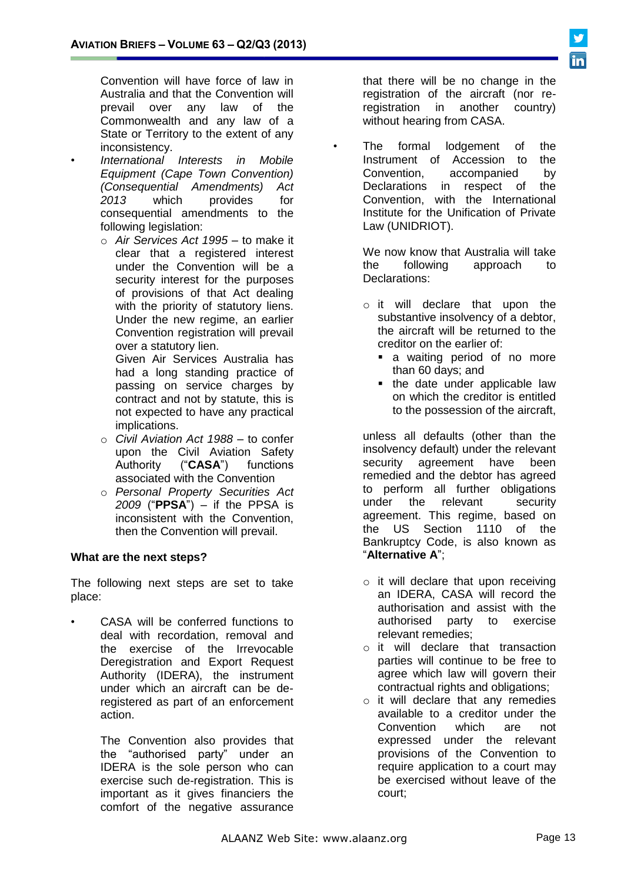Convention will have force of law in Australia and that the Convention will prevail over any law of the Commonwealth and any law of a State or Territory to the extent of any inconsistency.

- *International Interests in Mobile Equipment (Cape Town Convention) (Consequential Amendments) Act 2013* which provides for consequential amendments to the following legislation:
	- o *Air Services Act 1995* to make it clear that a registered interest under the Convention will be a security interest for the purposes of provisions of that Act dealing with the priority of statutory liens. Under the new regime, an earlier Convention registration will prevail over a statutory lien.

Given Air Services Australia has had a long standing practice of passing on service charges by contract and not by statute, this is not expected to have any practical implications.

- o *Civil Aviation Act 1988* to confer upon the Civil Aviation Safety Authority ("**CASA**") functions associated with the Convention
- o *Personal Property Securities Act 2009* ("**PPSA**") – if the PPSA is inconsistent with the Convention, then the Convention will prevail.

# **What are the next steps?**

The following next steps are set to take place:

• CASA will be conferred functions to deal with recordation, removal and the exercise of the Irrevocable Deregistration and Export Request Authority (IDERA), the instrument under which an aircraft can be deregistered as part of an enforcement action.

> The Convention also provides that the "authorised party" under an IDERA is the sole person who can exercise such de-registration. This is important as it gives financiers the comfort of the negative assurance

that there will be no change in the registration of the aircraft (nor reregistration in another country) without hearing from CASA.

The formal lodgement of the Instrument of Accession to the Convention, accompanied by Declarations in respect of the Convention, with the International Institute for the Unification of Private Law (UNIDRIOT).

> We now know that Australia will take the following approach to Declarations:

- o it will declare that upon the substantive insolvency of a debtor, the aircraft will be returned to the creditor on the earlier of:
	- **a** waiting period of no more than 60 days; and
	- the date under applicable law on which the creditor is entitled to the possession of the aircraft,

unless all defaults (other than the insolvency default) under the relevant security agreement have been remedied and the debtor has agreed to perform all further obligations under the relevant security agreement. This regime, based on the US Section 1110 of the Bankruptcy Code, is also known as "**Alternative A**";

- o it will declare that upon receiving an IDERA, CASA will record the authorisation and assist with the authorised party to exercise relevant remedies;
- o it will declare that transaction parties will continue to be free to agree which law will govern their contractual rights and obligations;
- o it will declare that any remedies available to a creditor under the Convention which are not expressed under the relevant provisions of the Convention to require application to a court may be exercised without leave of the court;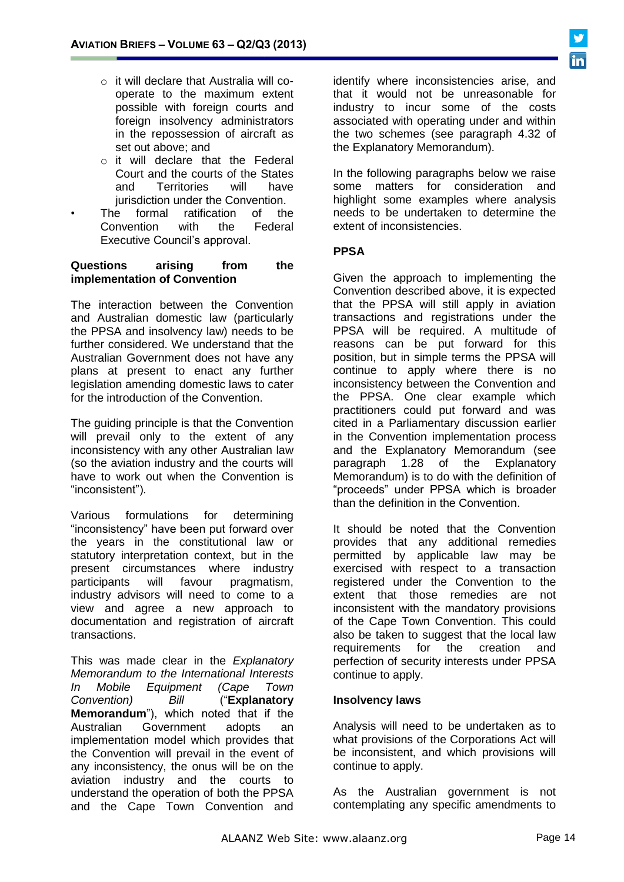- o it will declare that Australia will cooperate to the maximum extent possible with foreign courts and foreign insolvency administrators in the repossession of aircraft as set out above; and
- o it will declare that the Federal Court and the courts of the States<br>and Territories will have and Territories will have jurisdiction under the Convention.
- The formal ratification of the Convention with the Federal Executive Council's approval.

#### **Questions arising from the implementation of Convention**

The interaction between the Convention and Australian domestic law (particularly the PPSA and insolvency law) needs to be further considered. We understand that the Australian Government does not have any plans at present to enact any further legislation amending domestic laws to cater for the introduction of the Convention.

The guiding principle is that the Convention will prevail only to the extent of any inconsistency with any other Australian law (so the aviation industry and the courts will have to work out when the Convention is "inconsistent").

Various formulations for determining "inconsistency" have been put forward over the years in the constitutional law or statutory interpretation context, but in the present circumstances where industry participants will favour pragmatism, industry advisors will need to come to a view and agree a new approach to documentation and registration of aircraft transactions.

This was made clear in the *Explanatory Memorandum to the International Interests In Mobile Equipment (Cape Town Convention) Bill* ("**Explanatory Memorandum**"), which noted that if the Australian Government adopts an implementation model which provides that the Convention will prevail in the event of any inconsistency, the onus will be on the aviation industry and the courts to understand the operation of both the PPSA and the Cape Town Convention and

identify where inconsistencies arise, and that it would not be unreasonable for industry to incur some of the costs associated with operating under and within the two schemes (see paragraph 4.32 of the Explanatory Memorandum).

In the following paragraphs below we raise some matters for consideration and highlight some examples where analysis needs to be undertaken to determine the extent of inconsistencies.

# **PPSA**

Given the approach to implementing the Convention described above, it is expected that the PPSA will still apply in aviation transactions and registrations under the PPSA will be required. A multitude of reasons can be put forward for this position, but in simple terms the PPSA will continue to apply where there is no inconsistency between the Convention and the PPSA. One clear example which practitioners could put forward and was cited in a Parliamentary discussion earlier in the Convention implementation process and the Explanatory Memorandum (see paragraph 1.28 of the Explanatory Memorandum) is to do with the definition of "proceeds" under PPSA which is broader than the definition in the Convention.

It should be noted that the Convention provides that any additional remedies permitted by applicable law may be exercised with respect to a transaction registered under the Convention to the extent that those remedies are not inconsistent with the mandatory provisions of the Cape Town Convention. This could also be taken to suggest that the local law requirements for the creation and perfection of security interests under PPSA continue to apply.

#### **Insolvency laws**

Analysis will need to be undertaken as to what provisions of the Corporations Act will be inconsistent, and which provisions will continue to apply.

As the Australian government is not contemplating any specific amendments to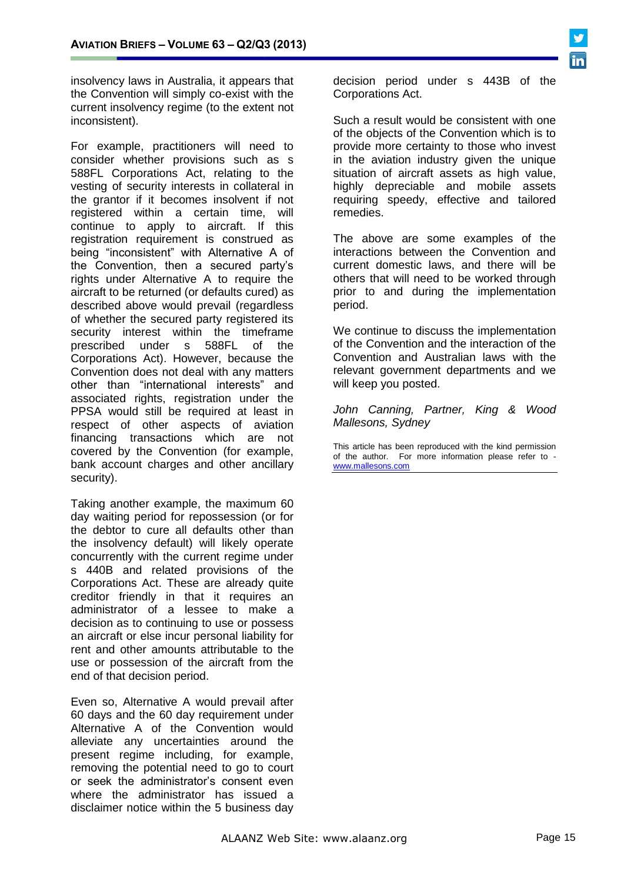

insolvency laws in Australia, it appears that the Convention will simply co-exist with the current insolvency regime (to the extent not inconsistent).

For example, practitioners will need to consider whether provisions such as s 588FL Corporations Act, relating to the vesting of security interests in collateral in the grantor if it becomes insolvent if not registered within a certain time, will continue to apply to aircraft. If this registration requirement is construed as being "inconsistent" with Alternative A of the Convention, then a secured party's rights under Alternative A to require the aircraft to be returned (or defaults cured) as described above would prevail (regardless of whether the secured party registered its security interest within the timeframe prescribed under s 588FL of the Corporations Act). However, because the Convention does not deal with any matters other than "international interests" and associated rights, registration under the PPSA would still be required at least in respect of other aspects of aviation financing transactions which are not covered by the Convention (for example, bank account charges and other ancillary security).

Taking another example, the maximum 60 day waiting period for repossession (or for the debtor to cure all defaults other than the insolvency default) will likely operate concurrently with the current regime under s 440B and related provisions of the Corporations Act. These are already quite creditor friendly in that it requires an administrator of a lessee to make a decision as to continuing to use or possess an aircraft or else incur personal liability for rent and other amounts attributable to the use or possession of the aircraft from the end of that decision period.

Even so, Alternative A would prevail after 60 days and the 60 day requirement under Alternative A of the Convention would alleviate any uncertainties around the present regime including, for example, removing the potential need to go to court or seek the administrator's consent even where the administrator has issued a disclaimer notice within the 5 business day

decision period under s 443B of the Corporations Act.

Such a result would be consistent with one of the objects of the Convention which is to provide more certainty to those who invest in the aviation industry given the unique situation of aircraft assets as high value, highly depreciable and mobile assets requiring speedy, effective and tailored remedies.

The above are some examples of the interactions between the Convention and current domestic laws, and there will be others that will need to be worked through prior to and during the implementation period.

We continue to discuss the implementation of the Convention and the interaction of the Convention and Australian laws with the relevant government departments and we will keep you posted.

*John Canning, Partner, King & Wood Mallesons, Sydney*

This article has been reproduced with the kind permission of the author. For more information please refer to [www.mallesons.com](http://www.mallesons.com/)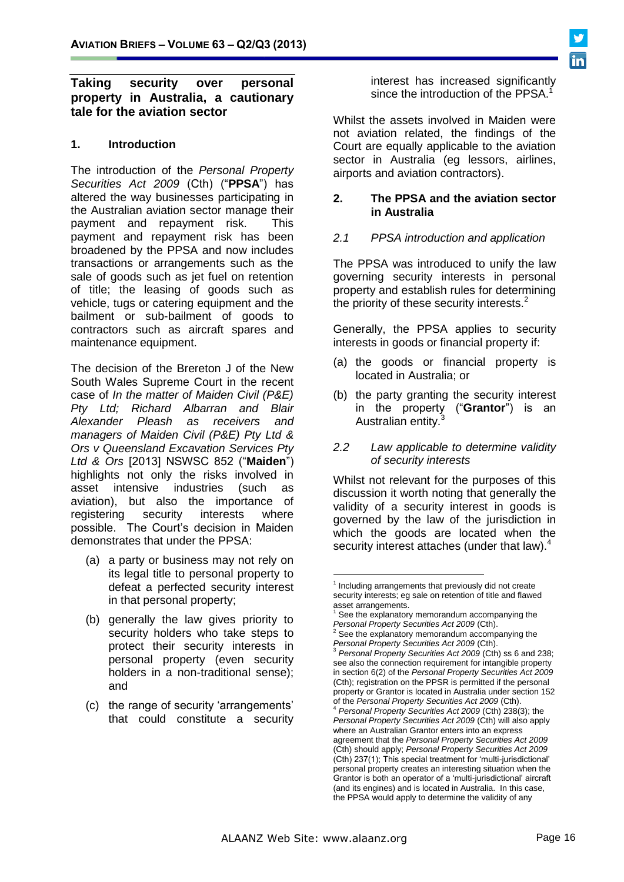### **Taking security over personal property in Australia, a cautionary tale for the aviation sector**

### **1. Introduction**

The introduction of the *Personal Property Securities Act 2009* (Cth) ("**PPSA**") has altered the way businesses participating in the Australian aviation sector manage their payment and repayment risk. This payment and repayment risk has been broadened by the PPSA and now includes transactions or arrangements such as the sale of goods such as jet fuel on retention of title; the leasing of goods such as vehicle, tugs or catering equipment and the bailment or sub-bailment of goods to contractors such as aircraft spares and maintenance equipment.

The decision of the Brereton J of the New South Wales Supreme Court in the recent case of *In the matter of Maiden Civil (P&E) Pty Ltd; Richard Albarran and Blair Alexander Pleash as receivers and managers of Maiden Civil (P&E) Pty Ltd & Ors v Queensland Excavation Services Pty Ltd & Ors* [2013] NSWSC 852 ("**Maiden**") highlights not only the risks involved in asset intensive industries (such as aviation), but also the importance of registering security interests where possible. The Court's decision in Maiden demonstrates that under the PPSA:

- (a) a party or business may not rely on its legal title to personal property to defeat a perfected security interest in that personal property;
- (b) generally the law gives priority to security holders who take steps to protect their security interests in personal property (even security holders in a non-traditional sense); and
- (c) the range of security 'arrangements' that could constitute a security

interest has increased significantly since the introduction of the PPSA.

Whilst the assets involved in Maiden were not aviation related, the findings of the Court are equally applicable to the aviation sector in Australia (eg lessors, airlines, airports and aviation contractors).

#### **2. The PPSA and the aviation sector in Australia**

### *2.1 PPSA introduction and application*

The PPSA was introduced to unify the law governing security interests in personal property and establish rules for determining the priority of these security interests.<sup>2</sup>

Generally, the PPSA applies to security interests in goods or financial property if:

- (a) the goods or financial property is located in Australia; or
- (b) the party granting the security interest in the property ("**Grantor**") is an Australian entity.
- *2.2 Law applicable to determine validity of security interests*

Whilst not relevant for the purposes of this discussion it worth noting that generally the validity of a security interest in goods is governed by the law of the jurisdiction in which the goods are located when the security interest attaches (under that law).<sup>4</sup>

<u>.</u>

<sup>&</sup>lt;sup>1</sup> Including arrangements that previously did not create security interests; eg sale on retention of title and flawed asset arrangements.

 $1$  See the explanatory memorandum accompanying the *Personal Property Securities Act 2009* (Cth).

 $2$  See the explanatory memorandum accompanying the *Personal Property Securities Act 2009* (Cth).

<sup>3</sup> *Personal Property Securities Act 2009* (Cth) ss 6 and 238; see also the connection requirement for intangible property in section 6(2) of the *Personal Property Securities Act 2009* (Cth); registration on the PPSR is permitted if the personal property or Grantor is located in Australia under section 152 of the *Personal Property Securities Act 2009* (Cth).

<sup>4</sup> *Personal Property Securities Act 2009* (Cth) 238(3); the *Personal Property Securities Act 2009* (Cth) will also apply where an Australian Grantor enters into an express agreement that the *Personal Property Securities Act 2009* (Cth) should apply; *Personal Property Securities Act 2009* (Cth) 237(1); This special treatment for 'multi-jurisdictional' personal property creates an interesting situation when the Grantor is both an operator of a 'multi-jurisdictional' aircraft (and its engines) and is located in Australia. In this case, the PPSA would apply to determine the validity of any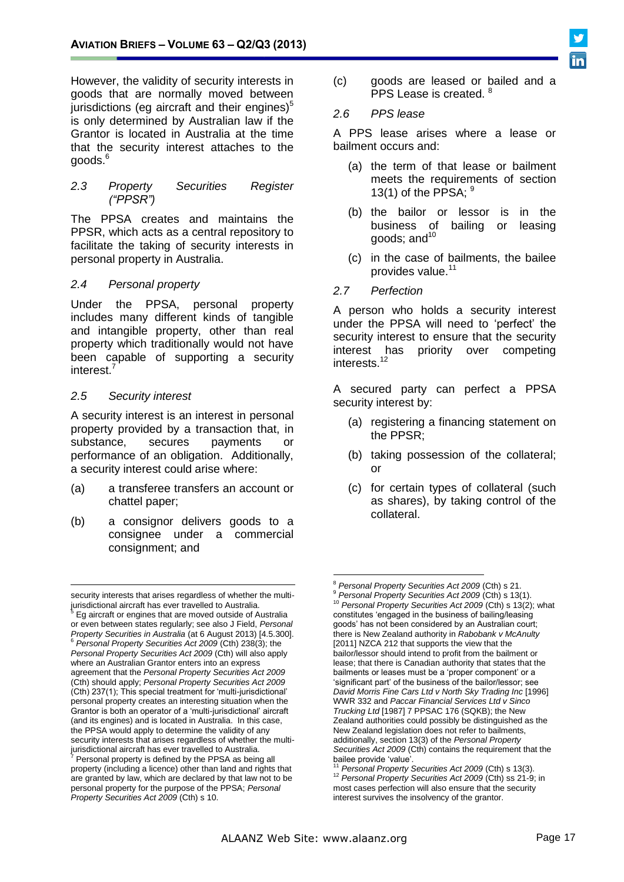However, the validity of security interests in goods that are normally moved between jurisdictions (eg aircraft and their engines) $5$ is only determined by Australian law if the Grantor is located in Australia at the time that the security interest attaches to the goods.<sup>6</sup>

*2.3 Property Securities Register ("PPSR")*

The PPSA creates and maintains the PPSR, which acts as a central repository to facilitate the taking of security interests in personal property in Australia.

#### *2.4 Personal property*

Under the PPSA, personal property includes many different kinds of tangible and intangible property, other than real property which traditionally would not have been capable of supporting a security interest.<sup>7</sup>

#### *2.5 Security interest*

 $\overline{a}$ 

A security interest is an interest in personal property provided by a transaction that, in substance, secures payments or performance of an obligation. Additionally, a security interest could arise where:

- (a) a transferee transfers an account or chattel paper;
- (b) a consignor delivers goods to a consignee under a commercial consignment; and

(c) goods are leased or bailed and a PPS Lease is created. 8

#### *2.6 PPS lease*

A PPS lease arises where a lease or bailment occurs and:

- (a) the term of that lease or bailment meets the requirements of section 13(1) of the PPSA;  $9$
- (b) the bailor or lessor is in the business of bailing or leasing aoods; and  $10<sup>10</sup>$
- (c) in the case of bailments, the bailee provides value.<sup>11</sup>
- *2.7 Perfection*

A person who holds a security interest under the PPSA will need to 'perfect' the security interest to ensure that the security interest has priority over competing interests.<sup>12</sup>

A secured party can perfect a PPSA security interest by:

- (a) registering a financing statement on the PPSR;
- (b) taking possession of the collateral; or
- (c) for certain types of collateral (such as shares), by taking control of the collateral.



security interests that arises regardless of whether the multi-

jurisdictional aircraft has ever travelled to Australia.<br><sup>5</sup> Eg aircraft or engines that are moved outside of Australia or even between states regularly; see also J Field, *Personal Property Securities in Australia* (at 6 August 2013) [4.5.300]. <sup>6</sup> *Personal Property Securities Act 2009* (Cth) 238(3); the *Personal Property Securities Act 2009* (Cth) will also apply where an Australian Grantor enters into an express agreement that the *Personal Property Securities Act 2009* (Cth) should apply; *Personal Property Securities Act 2009* (Cth) 237(1); This special treatment for 'multi-jurisdictional' personal property creates an interesting situation when the Grantor is both an operator of a 'multi-jurisdictional' aircraft (and its engines) and is located in Australia. In this case, the PPSA would apply to determine the validity of any security interests that arises regardless of whether the multijurisdictional aircraft has ever travelled to Australia.

Personal property is defined by the PPSA as being all property (including a licence) other than land and rights that are granted by law, which are declared by that law not to be personal property for the purpose of the PPSA; *Personal Property Securities Act 2009* (Cth) s 10.

<sup>&</sup>lt;u>.</u> <sup>8</sup> *Personal Property Securities Act 2009* (Cth) s 21.

<sup>9</sup> *Personal Property Securities Act 2009* (Cth) s 13(1). <sup>10</sup> *Personal Property Securities Act 2009* (Cth) s 13(2); what constitutes 'engaged in the business of bailing/leasing goods' has not been considered by an Australian court; there is New Zealand authority in *Rabobank v McAnulty* [2011] NZCA 212 that supports the view that the bailor/lessor should intend to profit from the bailment or lease; that there is Canadian authority that states that the bailments or leases must be a 'proper component' or a 'significant part' of the business of the bailor/lessor; see *David Morris Fine Cars Ltd v North Sky Trading Inc* [1996] WWR 332 and *Paccar Financial Services Ltd v Sinco Trucking Ltd* [1987] 7 PPSAC 176 (SQKB); the New Zealand authorities could possibly be distinguished as the New Zealand legislation does not refer to bailments, additionally, section 13(3) of the *Personal Property Securities Act 2009* (Cth) contains the requirement that the bailee provide 'value'.

<sup>11</sup> *Personal Property Securities Act 2009* (Cth) s 13(3). <sup>12</sup> *Personal Property Securities Act 2009* (Cth) ss 21-9; in most cases perfection will also ensure that the security interest survives the insolvency of the grantor.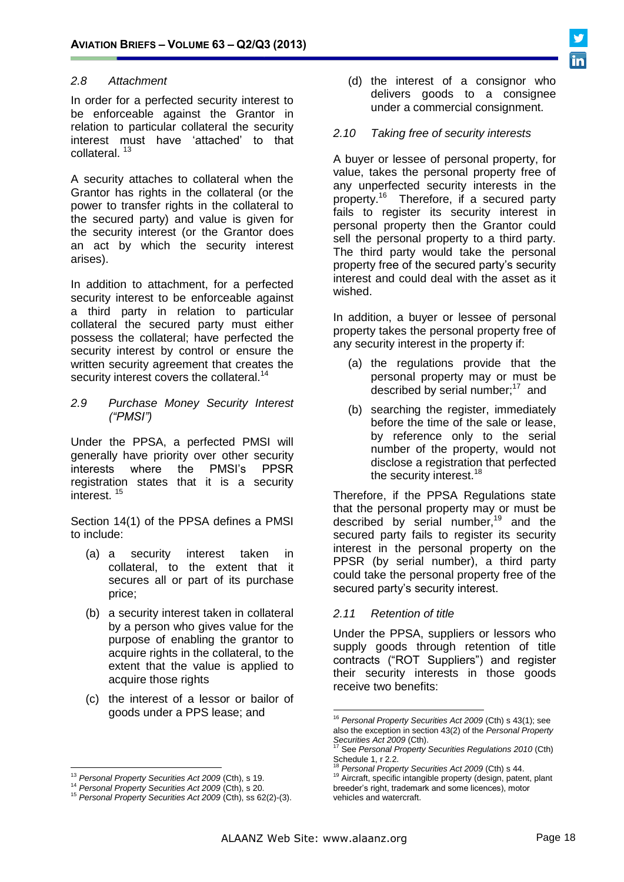

### *2.8 Attachment*

In order for a perfected security interest to be enforceable against the Grantor in relation to particular collateral the security interest must have 'attached' to that collateral.<sup>13</sup>

A security attaches to collateral when the Grantor has rights in the collateral (or the power to transfer rights in the collateral to the secured party) and value is given for the security interest (or the Grantor does an act by which the security interest arises).

In addition to attachment, for a perfected security interest to be enforceable against a third party in relation to particular collateral the secured party must either possess the collateral; have perfected the security interest by control or ensure the written security agreement that creates the security interest covers the collateral.<sup>14</sup>

#### *2.9 Purchase Money Security Interest ("PMSI")*

Under the PPSA, a perfected PMSI will generally have priority over other security interests where the PMSI's PPSR registration states that it is a security interest.<sup>15</sup>

Section 14(1) of the PPSA defines a PMSI to include:

- (a) a security interest taken in collateral, to the extent that it secures all or part of its purchase price;
- (b) a security interest taken in collateral by a person who gives value for the purpose of enabling the grantor to acquire rights in the collateral, to the extent that the value is applied to acquire those rights
- (c) the interest of a lessor or bailor of goods under a PPS lease; and

 $\overline{a}$ 

(d) the interest of a consignor who delivers goods to a consignee under a commercial consignment.

#### *2.10 Taking free of security interests*

A buyer or lessee of personal property, for value, takes the personal property free of any unperfected security interests in the property.<sup>16</sup> Therefore, if a secured party fails to register its security interest in personal property then the Grantor could sell the personal property to a third party. The third party would take the personal property free of the secured party's security interest and could deal with the asset as it wished.

In addition, a buyer or lessee of personal property takes the personal property free of any security interest in the property if:

- (a) the regulations provide that the personal property may or must be described by serial number;<sup>17</sup> and
- (b) searching the register, immediately before the time of the sale or lease, by reference only to the serial number of the property, would not disclose a registration that perfected the security interest.<sup>18</sup>

Therefore, if the PPSA Regulations state that the personal property may or must be described by serial number,<sup>19</sup> and the secured party fails to register its security interest in the personal property on the PPSR (by serial number), a third party could take the personal property free of the secured party's security interest.

#### *2.11 Retention of title*

Under the PPSA, suppliers or lessors who supply goods through retention of title contracts ("ROT Suppliers") and register their security interests in those goods receive two benefits:

1

<sup>13</sup> *Personal Property Securities Act 2009* (Cth), s 19.

<sup>14</sup> *Personal Property Securities Act 2009* (Cth), s 20.

<sup>15</sup> *Personal Property Securities Act 2009* (Cth), ss 62(2)-(3).

<sup>16</sup> *Personal Property Securities Act 2009* (Cth) s 43(1); see also the exception in section 43(2) of the *Personal Property Securities Act 2009* (Cth).

<sup>17</sup> See *Personal Property Securities Regulations 2010* (Cth) Schedule 1, r 2.2.

<sup>18</sup> *Personal Property Securities Act 2009* (Cth) s 44.

<sup>19</sup> Aircraft, specific intangible property (design, patent, plant breeder's right, trademark and some licences), motor vehicles and watercraft.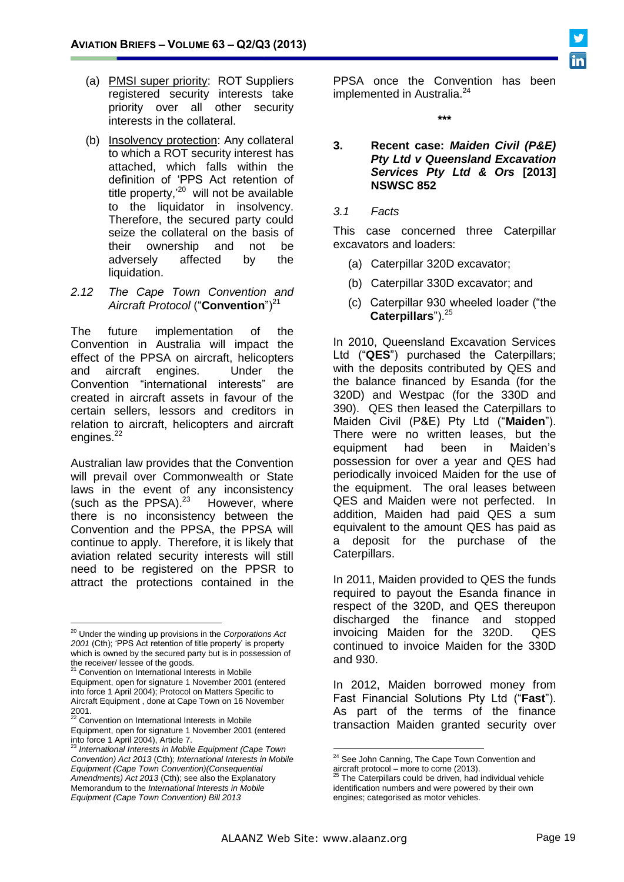- (a) PMSI super priority: ROT Suppliers registered security interests take priority over all other security interests in the collateral.
- (b) Insolvency protection: Any collateral to which a ROT security interest has attached, which falls within the definition of 'PPS Act retention of title property,<sup>'20</sup> will not be available to the liquidator in insolvency. Therefore, the secured party could seize the collateral on the basis of their ownership and not be adversely affected by the liquidation.
- *2.12 The Cape Town Convention and*  Aircraft Protocol ("**Convention**")<sup>21</sup>

The future implementation of the Convention in Australia will impact the effect of the PPSA on aircraft, helicopters and aircraft engines. Under the Convention "international interests" are created in aircraft assets in favour of the certain sellers, lessors and creditors in relation to aircraft, helicopters and aircraft engines.<sup>22</sup>

Australian law provides that the Convention will prevail over Commonwealth or State laws in the event of any inconsistency (such as the PPSA).<sup>23</sup> However, where there is no inconsistency between the Convention and the PPSA, the PPSA will continue to apply. Therefore, it is likely that aviation related security interests will still need to be registered on the PPSR to attract the protections contained in the PPSA once the Convention has been implemented in Australia.<sup>24</sup>

**\*\*\***

#### **3. Recent case:** *Maiden Civil (P&E) Pty Ltd v Queensland Excavation Services Pty Ltd & Ors* **[2013] NSWSC 852**

#### *3.1 Facts*

This case concerned three Caterpillar excavators and loaders:

- (a) Caterpillar 320D excavator;
- (b) Caterpillar 330D excavator; and
- (c) Caterpillar 930 wheeled loader ("the **Caterpillars**").<sup>25</sup>

In 2010, Queensland Excavation Services Ltd ("**QES**") purchased the Caterpillars; with the deposits contributed by QES and the balance financed by Esanda (for the 320D) and Westpac (for the 330D and 390). QES then leased the Caterpillars to Maiden Civil (P&E) Pty Ltd ("**Maiden**"). There were no written leases, but the equipment had been in Maiden's possession for over a year and QES had periodically invoiced Maiden for the use of the equipment. The oral leases between QES and Maiden were not perfected. In addition, Maiden had paid QES a sum equivalent to the amount QES has paid as a deposit for the purchase of the Caterpillars.

In 2011, Maiden provided to QES the funds required to payout the Esanda finance in respect of the 320D, and QES thereupon discharged the finance and stopped invoicing Maiden for the 320D. QES continued to invoice Maiden for the 330D and 930.

In 2012, Maiden borrowed money from Fast Financial Solutions Pty Ltd ("**Fast**"). As part of the terms of the finance transaction Maiden granted security over

 $\overline{a}$ <sup>20</sup> Under the winding up provisions in the *Corporations Act 2001* (Cth); 'PPS Act retention of title property' is property which is owned by the secured party but is in possession of

the receiver/ lessee of the goods.<br><sup>21</sup> Convention on International Interests in Mobile Equipment, open for signature 1 November 2001 (entered into force 1 April 2004); Protocol on Matters Specific to Aircraft Equipment , done at Cape Town on 16 November

<sup>2001.</sup> <sup>22</sup> Convention on International Interests in Mobile Equipment, open for signature 1 November 2001 (entered

into force 1 April 2004), Article 7. <sup>23</sup> *International Interests in Mobile Equipment (Cape Town Convention) Act 2013* (Cth); *International Interests in Mobile Equipment (Cape Town Convention)(Consequential Amendments) Act 2013* (Cth); see also the Explanatory Memorandum to the *International Interests in Mobile Equipment (Cape Town Convention) Bill 2013*

<sup>&</sup>lt;u>.</u> <sup>24</sup> See John Canning, The Cape Town Convention and  $\frac{3}{25}$  aircraft protocol – more to come (2013).

The Caterpillars could be driven, had individual vehicle identification numbers and were powered by their own engines; categorised as motor vehicles.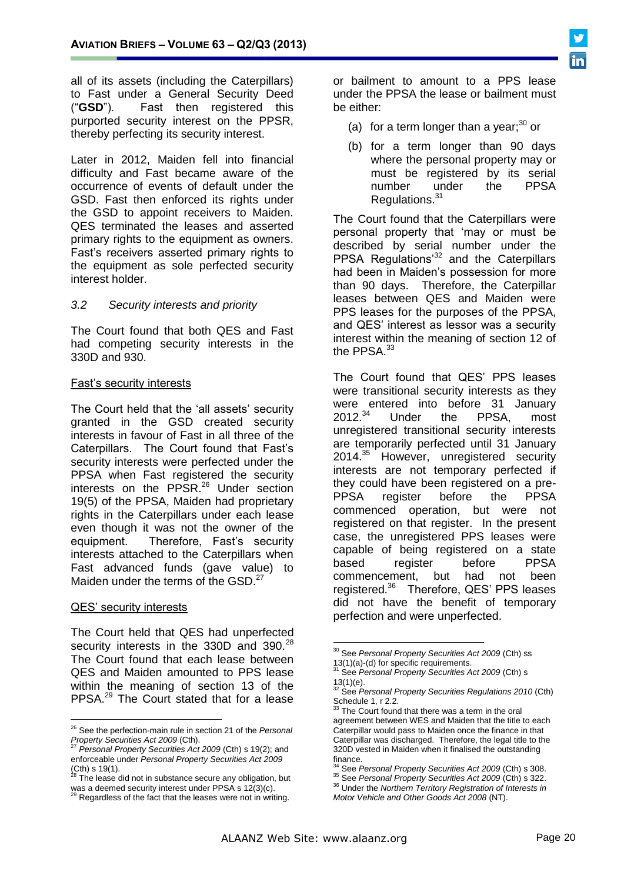all of its assets (including the Caterpillars) to Fast under a General Security Deed ("**GSD**"). Fast then registered this purported security interest on the PPSR, thereby perfecting its security interest.

Later in 2012, Maiden fell into financial difficulty and Fast became aware of the occurrence of events of default under the GSD. Fast then enforced its rights under the GSD to appoint receivers to Maiden. QES terminated the leases and asserted primary rights to the equipment as owners. Fast's receivers asserted primary rights to the equipment as sole perfected security interest holder.

#### *3.2 Security interests and priority*

The Court found that both QES and Fast had competing security interests in the 330D and 930.

#### Fast's security interests

The Court held that the 'all assets' security granted in the GSD created security interests in favour of Fast in all three of the Caterpillars. The Court found that Fast's security interests were perfected under the PPSA when Fast registered the security interests on the PPSR. $^{26}$  Under section 19(5) of the PPSA, Maiden had proprietary rights in the Caterpillars under each lease even though it was not the owner of the equipment. Therefore, Fast's security interests attached to the Caterpillars when Fast advanced funds (gave value) to Maiden under the terms of the GSD. $^{27}$ 

#### QES' security interests

 $\overline{a}$ 

The Court held that QES had unperfected security interests in the 330D and 390.<sup>28</sup> The Court found that each lease between QES and Maiden amounted to PPS lease within the meaning of section 13 of the PPSA.<sup>29</sup> The Court stated that for a lease

or bailment to amount to a PPS lease under the PPSA the lease or bailment must be either:

- (a) for a term longer than a year; $30$  or
- (b) for a term longer than 90 days where the personal property may or must be registered by its serial number under the PPSA Regulations.<sup>31</sup>

The Court found that the Caterpillars were personal property that 'may or must be described by serial number under the PPSA Regulations<sup>32</sup> and the Caterpillars had been in Maiden's possession for more than 90 days. Therefore, the Caterpillar leases between QES and Maiden were PPS leases for the purposes of the PPSA, and QES' interest as lessor was a security interest within the meaning of section 12 of the PPSA.<sup>33</sup>

The Court found that QES' PPS leases were transitional security interests as they were entered into before 31 January 2012.<sup>34</sup> Under the PPSA, most unregistered transitional security interests are temporarily perfected until 31 January 2014.<sup>35</sup> However, unregistered security interests are not temporary perfected if they could have been registered on a pre-PPSA register before the PPSA commenced operation, but were not registered on that register. In the present case, the unregistered PPS leases were capable of being registered on a state based register before PPSA commencement, but had not been registered.<sup>36</sup> Therefore, QES' PPS leases did not have the benefit of temporary perfection and were unperfected.

<u>.</u>

<sup>26</sup> See the perfection-main rule in section 21 of the *Personal* 

*Property Securities Act 2009* (Cth). <sup>27</sup> *Personal Property Securities Act 2009* (Cth) s 19(2); and enforceable under *Personal Property Securities Act 2009*  $(Ch)$  s 19(1).

The lease did not in substance secure any obligation, but

was a deemed security interest under PPSA s 12(3)(c).<br><sup>29</sup> Regardless of the fact that the leases were not in writing.

<sup>30</sup> See *Personal Property Securities Act 2009* (Cth) ss 13(1)(a)-(d) for specific requirements.

<sup>31</sup> See *Personal Property Securities Act 2009* (Cth) s 13(1)(e).

<sup>32</sup> See *Personal Property Securities Regulations 2010* (Cth) Schedule 1, r 2.2.<br><sup>33</sup> The Court found

The Court found that there was a term in the oral agreement between WES and Maiden that the title to each Caterpillar would pass to Maiden once the finance in that Caterpillar was discharged. Therefore, the legal title to the 320D vested in Maiden when it finalised the outstanding finance.

<sup>34</sup> See *Personal Property Securities Act 2009* (Cth) s 308.

<sup>35</sup> See *Personal Property Securities Act 2009* (Cth) s 322.

<sup>36</sup> Under the *Northern Territory Registration of Interests in Motor Vehicle and Other Goods Act 2008* (NT).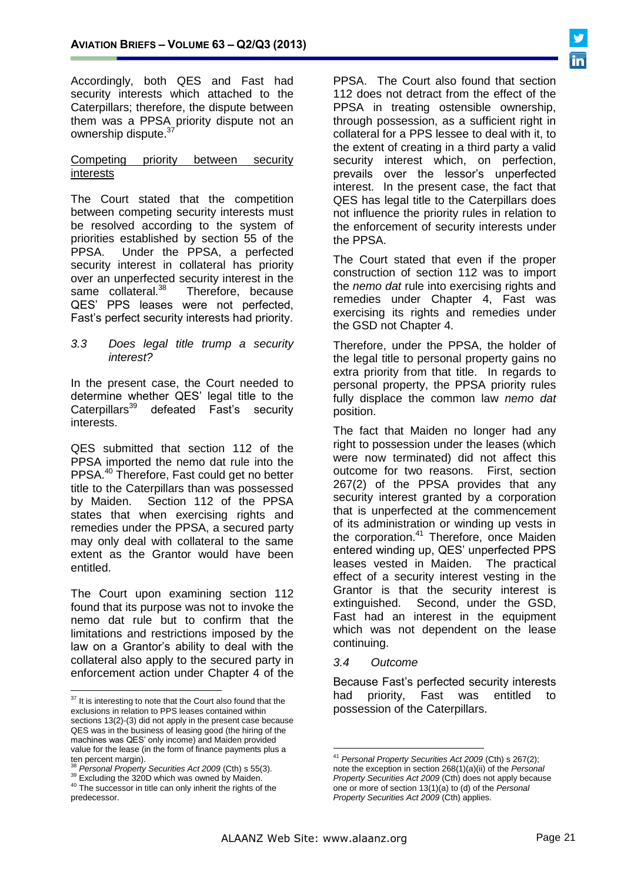Accordingly, both QES and Fast had security interests which attached to the Caterpillars; therefore, the dispute between them was a PPSA priority dispute not an ownership dispute.<sup>37</sup>

#### Competing priority between security interests

The Court stated that the competition between competing security interests must be resolved according to the system of priorities established by section 55 of the PPSA. Under the PPSA, a perfected security interest in collateral has priority over an unperfected security interest in the same collateral.<sup>38</sup> Therefore, because QES' PPS leases were not perfected, Fast's perfect security interests had priority.

#### *3.3 Does legal title trump a security interest?*

In the present case, the Court needed to determine whether QES' legal title to the<br>Caterpillars<sup>39</sup> defeated Fast's security defeated Fast's security interests.

QES submitted that section 112 of the PPSA imported the nemo dat rule into the PPSA.<sup>40</sup> Therefore, Fast could get no better title to the Caterpillars than was possessed by Maiden. Section 112 of the PPSA states that when exercising rights and remedies under the PPSA, a secured party may only deal with collateral to the same extent as the Grantor would have been entitled.

The Court upon examining section 112 found that its purpose was not to invoke the nemo dat rule but to confirm that the limitations and restrictions imposed by the law on a Grantor's ability to deal with the collateral also apply to the secured party in enforcement action under Chapter 4 of the

 $\overline{a}$ 

PPSA. The Court also found that section 112 does not detract from the effect of the PPSA in treating ostensible ownership, through possession, as a sufficient right in collateral for a PPS lessee to deal with it, to the extent of creating in a third party a valid security interest which, on perfection, prevails over the lessor's unperfected interest. In the present case, the fact that QES has legal title to the Caterpillars does not influence the priority rules in relation to the enforcement of security interests under the PPSA.

The Court stated that even if the proper construction of section 112 was to import the *nemo dat* rule into exercising rights and remedies under Chapter 4, Fast was exercising its rights and remedies under the GSD not Chapter 4.

Therefore, under the PPSA, the holder of the legal title to personal property gains no extra priority from that title. In regards to personal property, the PPSA priority rules fully displace the common law *nemo dat* position.

The fact that Maiden no longer had any right to possession under the leases (which were now terminated) did not affect this outcome for two reasons. First, section 267(2) of the PPSA provides that any security interest granted by a corporation that is unperfected at the commencement of its administration or winding up vests in the corporation.<sup>41</sup> Therefore, once Maiden entered winding up, QES' unperfected PPS leases vested in Maiden. The practical effect of a security interest vesting in the Grantor is that the security interest is extinguished. Second, under the GSD, Fast had an interest in the equipment which was not dependent on the lease continuing.

#### *3.4 Outcome*

Because Fast's perfected security interests had priority, Fast was entitled to possession of the Caterpillars.

 $37$  It is interesting to note that the Court also found that the exclusions in relation to PPS leases contained within sections 13(2)-(3) did not apply in the present case because QES was in the business of leasing good (the hiring of the machines was QES' only income) and Maiden provided value for the lease (in the form of finance payments plus a ten percent margin).

<sup>38</sup> *Personal Property Securities Act 2009* (Cth) s 55(3).

<sup>&</sup>lt;sup>39</sup> Excluding the 320D which was owned by Maiden.

<sup>&</sup>lt;sup>40</sup> The successor in title can only inherit the rights of the predecessor.

<sup>&</sup>lt;u>.</u> <sup>41</sup> *Personal Property Securities Act 2009* (Cth) s 267(2); note the exception in section 268(1)(a)(ii) of the *Personal Property Securities Act 2009* (Cth) does not apply because one or more of section 13(1)(a) to (d) of the *Personal Property Securities Act 2009* (Cth) applies.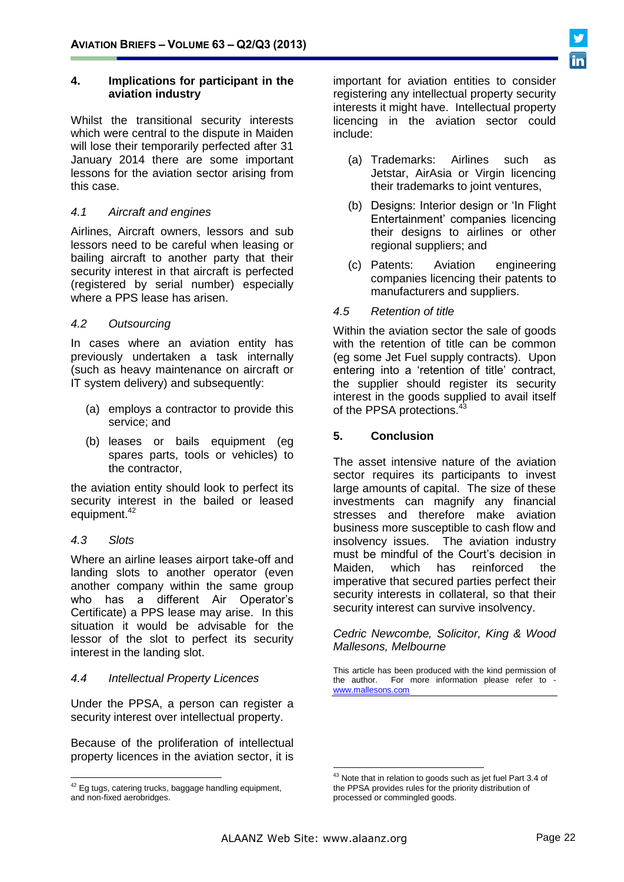#### **4. Implications for participant in the aviation industry**

Whilst the transitional security interests which were central to the dispute in Maiden will lose their temporarily perfected after 31 January 2014 there are some important lessons for the aviation sector arising from this case.

#### *4.1 Aircraft and engines*

Airlines, Aircraft owners, lessors and sub lessors need to be careful when leasing or bailing aircraft to another party that their security interest in that aircraft is perfected (registered by serial number) especially where a PPS lease has arisen.

#### *4.2 Outsourcing*

In cases where an aviation entity has previously undertaken a task internally (such as heavy maintenance on aircraft or IT system delivery) and subsequently:

- (a) employs a contractor to provide this service; and
- (b) leases or bails equipment (eg spares parts, tools or vehicles) to the contractor,

the aviation entity should look to perfect its security interest in the bailed or leased equipment.<sup>42</sup>

#### *4.3 Slots*

 $\overline{a}$ 

Where an airline leases airport take-off and landing slots to another operator (even another company within the same group who has a different Air Operator's Certificate) a PPS lease may arise. In this situation it would be advisable for the lessor of the slot to perfect its security interest in the landing slot.

#### *4.4 Intellectual Property Licences*

Under the PPSA, a person can register a security interest over intellectual property.

Because of the proliferation of intellectual property licences in the aviation sector, it is important for aviation entities to consider registering any intellectual property security interests it might have. Intellectual property licencing in the aviation sector could include:

- (a) Trademarks: Airlines such as Jetstar, AirAsia or Virgin licencing their trademarks to joint ventures,
- (b) Designs: Interior design or 'In Flight Entertainment' companies licencing their designs to airlines or other regional suppliers; and
- (c) Patents: Aviation engineering companies licencing their patents to manufacturers and suppliers.

#### *4.5 Retention of title*

Within the aviation sector the sale of goods with the retention of title can be common (eg some Jet Fuel supply contracts). Upon entering into a 'retention of title' contract, the supplier should register its security interest in the goods supplied to avail itself of the PPSA protections.<sup>43</sup>

#### **5. Conclusion**

The asset intensive nature of the aviation sector requires its participants to invest large amounts of capital. The size of these investments can magnify any financial stresses and therefore make aviation business more susceptible to cash flow and insolvency issues. The aviation industry must be mindful of the Court's decision in Maiden, which has reinforced the imperative that secured parties perfect their security interests in collateral, so that their security interest can survive insolvency.

*Cedric Newcombe, Solicitor, King & Wood Mallesons, Melbourne*

This article has been produced with the kind permission of the author. For more information please refer to [www.mallesons.com](http://www.mallesons.com/)

1

 $42$  Eg tugs, catering trucks, baggage handling equipment, and non-fixed aerobridges.

<sup>&</sup>lt;sup>43</sup> Note that in relation to goods such as jet fuel Part 3.4 of the PPSA provides rules for the priority distribution of processed or commingled goods.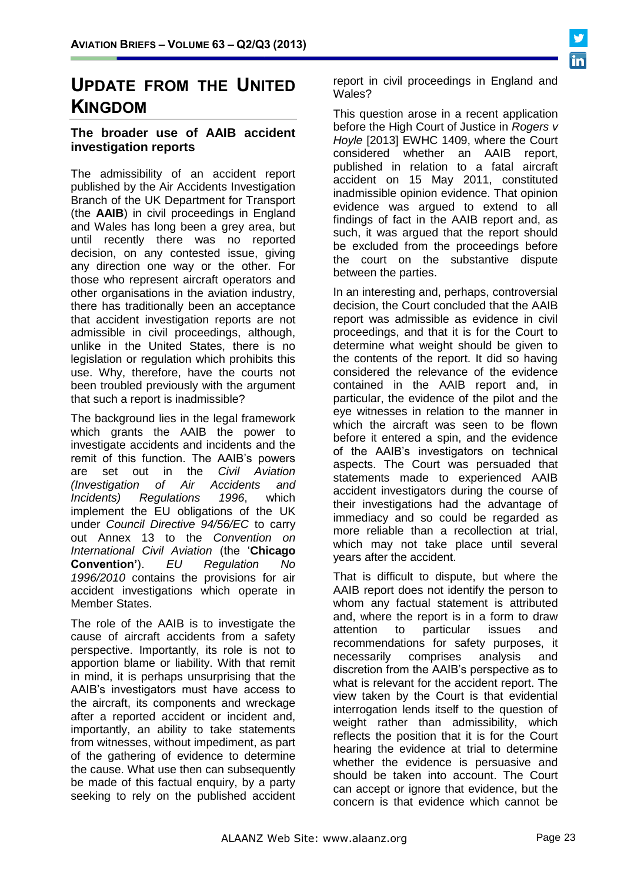

# **UPDATE FROM THE UNITED KINGDOM**

# **The broader use of AAIB accident investigation reports**

The admissibility of an accident report published by the Air Accidents Investigation Branch of the UK Department for Transport (the **AAIB**) in civil proceedings in England and Wales has long been a grey area, but until recently there was no reported decision, on any contested issue, giving any direction one way or the other. For those who represent aircraft operators and other organisations in the aviation industry, there has traditionally been an acceptance that accident investigation reports are not admissible in civil proceedings, although, unlike in the United States, there is no legislation or regulation which prohibits this use. Why, therefore, have the courts not been troubled previously with the argument that such a report is inadmissible?

The background lies in the legal framework which grants the AAIB the power to investigate accidents and incidents and the remit of this function. The AAIB's powers are set out in the *Civil Aviation (Investigation of Air Accidents and Incidents) Regulations 1996*, which implement the EU obligations of the UK under *Council Directive 94/56/EC* to carry out Annex 13 to the *Convention on International Civil Aviation* (the '**Chicago Convention'**). *EU Regulation No 1996/2010* contains the provisions for air accident investigations which operate in Member States.

The role of the AAIB is to investigate the cause of aircraft accidents from a safety perspective. Importantly, its role is not to apportion blame or liability. With that remit in mind, it is perhaps unsurprising that the AAIB's investigators must have access to the aircraft, its components and wreckage after a reported accident or incident and, importantly, an ability to take statements from witnesses, without impediment, as part of the gathering of evidence to determine the cause. What use then can subsequently be made of this factual enquiry, by a party seeking to rely on the published accident

report in civil proceedings in England and Wales?

This question arose in a recent application before the High Court of Justice in *Rogers v Hoyle* [2013] EWHC 1409, where the Court considered whether an AAIB report, published in relation to a fatal aircraft accident on 15 May 2011, constituted inadmissible opinion evidence. That opinion evidence was argued to extend to all findings of fact in the AAIB report and, as such, it was argued that the report should be excluded from the proceedings before the court on the substantive dispute between the parties.

In an interesting and, perhaps, controversial decision, the Court concluded that the AAIB report was admissible as evidence in civil proceedings, and that it is for the Court to determine what weight should be given to the contents of the report. It did so having considered the relevance of the evidence contained in the AAIB report and, in particular, the evidence of the pilot and the eye witnesses in relation to the manner in which the aircraft was seen to be flown before it entered a spin, and the evidence of the AAIB's investigators on technical aspects. The Court was persuaded that statements made to experienced AAIB accident investigators during the course of their investigations had the advantage of immediacy and so could be regarded as more reliable than a recollection at trial, which may not take place until several years after the accident.

That is difficult to dispute, but where the AAIB report does not identify the person to whom any factual statement is attributed and, where the report is in a form to draw attention to particular issues and recommendations for safety purposes, it necessarily comprises analysis and discretion from the AAIB's perspective as to what is relevant for the accident report. The view taken by the Court is that evidential interrogation lends itself to the question of weight rather than admissibility, which reflects the position that it is for the Court hearing the evidence at trial to determine whether the evidence is persuasive and should be taken into account. The Court can accept or ignore that evidence, but the concern is that evidence which cannot be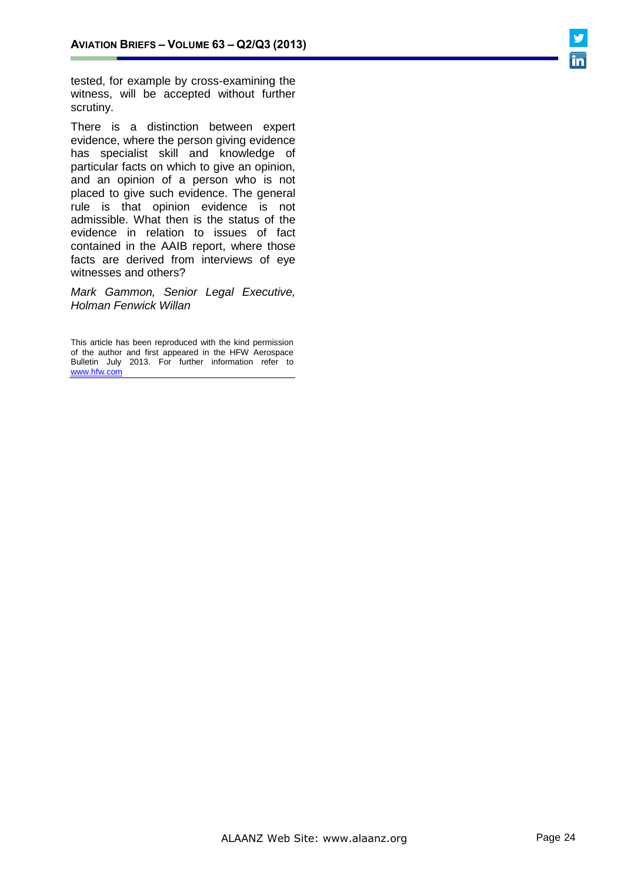tested, for example by cross-examining the witness, will be accepted without further scrutiny.

There is a distinction between expert evidence, where the person giving evidence has specialist skill and knowledge of particular facts on which to give an opinion, and an opinion of a person who is not placed to give such evidence. The general rule is that opinion evidence is not admissible. What then is the status of the evidence in relation to issues of fact contained in the AAIB report, where those facts are derived from interviews of eye witnesses and others?

*Mark Gammon, Senior Legal Executive, Holman Fenwick Willan*

This article has been reproduced with the kind permission of the author and first appeared in the HFW Aerospace Bulletin July 2013. For further information refer to [www.hfw.com](http://www.hfw.com/)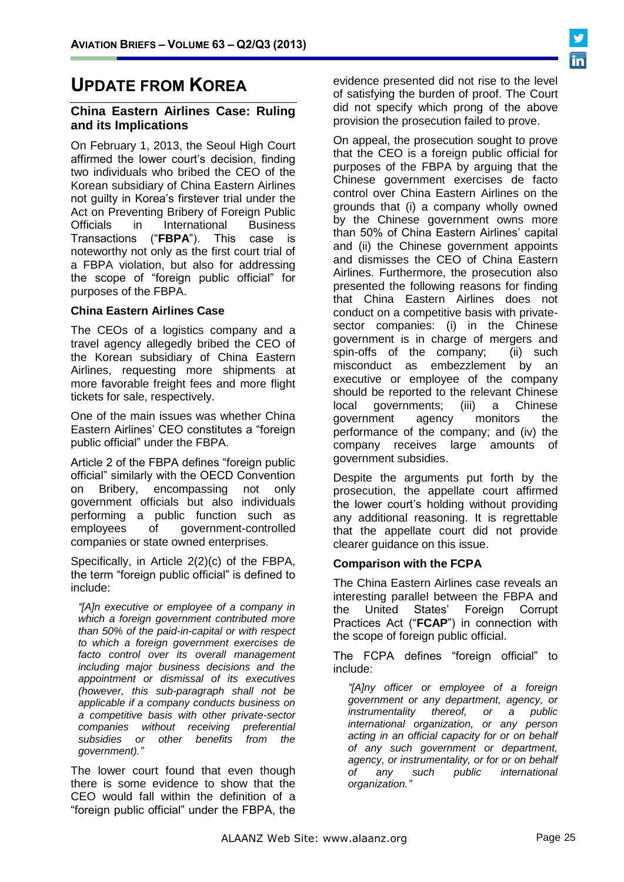# **UPDATE FROM KOREA**

#### **China Eastern Airlines Case: Ruling and its Implications**

On February 1, 2013, the Seoul High Court affirmed the lower court's decision, finding two individuals who bribed the CEO of the Korean subsidiary of China Eastern Airlines not guilty in Korea's firstever trial under the Act on Preventing Bribery of Foreign Public Officials in International Business Transactions ("**FBPA**"). This case is noteworthy not only as the first court trial of a FBPA violation, but also for addressing the scope of "foreign public official" for purposes of the FBPA.

#### **China Eastern Airlines Case**

The CEOs of a logistics company and a travel agency allegedly bribed the CEO of the Korean subsidiary of China Eastern Airlines, requesting more shipments at more favorable freight fees and more flight tickets for sale, respectively.

One of the main issues was whether China Eastern Airlines' CEO constitutes a "foreign public official" under the FBPA.

Article 2 of the FBPA defines "foreign public official" similarly with the OECD Convention on Bribery, encompassing not only government officials but also individuals performing a public function such as employees of government-controlled companies or state owned enterprises.

Specifically, in Article 2(2)(c) of the FBPA, the term "foreign public official" is defined to include:

*"[A]n executive or employee of a company in which a foreign government contributed more than 50% of the paid-in-capital or with respect to which a foreign government exercises de facto control over its overall management including major business decisions and the appointment or dismissal of its executives (however, this sub-paragraph shall not be applicable if a company conducts business on a competitive basis with other private-sector companies without receiving preferential subsidies or other benefits from the government)."*

The lower court found that even though there is some evidence to show that the CEO would fall within the definition of a "foreign public official" under the FBPA, the

evidence presented did not rise to the level of satisfying the burden of proof. The Court did not specify which prong of the above provision the prosecution failed to prove.

On appeal, the prosecution sought to prove that the CEO is a foreign public official for purposes of the FBPA by arguing that the Chinese government exercises de facto control over China Eastern Airlines on the grounds that (i) a company wholly owned by the Chinese government owns more than 50% of China Eastern Airlines' capital and (ii) the Chinese government appoints and dismisses the CEO of China Eastern Airlines. Furthermore, the prosecution also presented the following reasons for finding that China Eastern Airlines does not conduct on a competitive basis with privatesector companies: (i) in the Chinese government is in charge of mergers and spin-offs of the company; (ii) such misconduct as embezzlement by an executive or employee of the company should be reported to the relevant Chinese local governments; (iii) a Chinese government agency monitors the performance of the company; and (iv) the company receives large amounts of government subsidies.

Despite the arguments put forth by the prosecution, the appellate court affirmed the lower court's holding without providing any additional reasoning. It is regrettable that the appellate court did not provide clearer guidance on this issue.

#### **Comparison with the FCPA**

The China Eastern Airlines case reveals an interesting parallel between the FBPA and the United States' Foreign Corrupt Practices Act ("**FCAP**") in connection with the scope of foreign public official.

The FCPA defines "foreign official" to include:

*"[A]ny officer or employee of a foreign government or any department, agency, or instrumentality thereof, or a public international organization, or any person acting in an official capacity for or on behalf of any such government or department, agency, or instrumentality, or for or on behalf of any such public international organization."*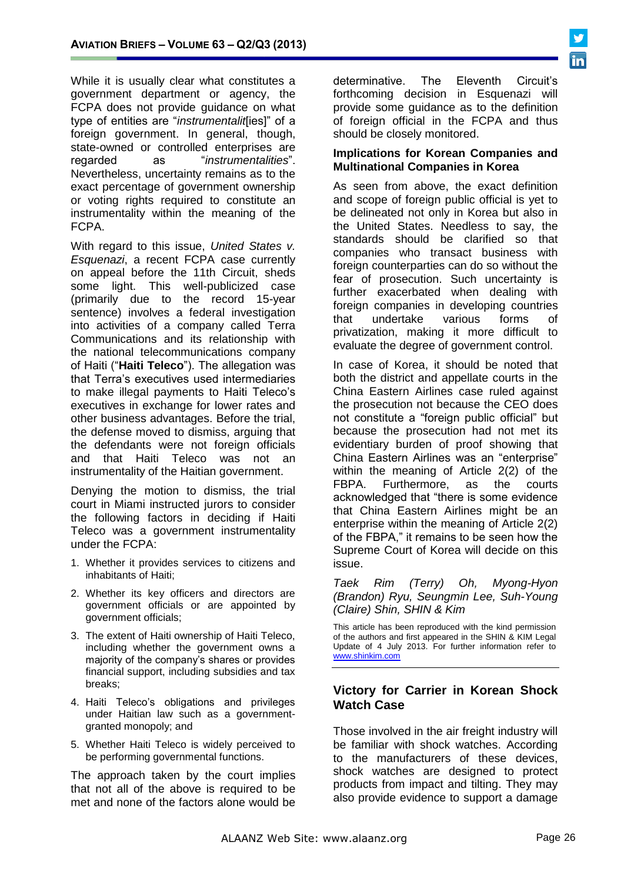While it is usually clear what constitutes a government department or agency, the FCPA does not provide guidance on what type of entities are "*instrumentalit*[ies]" of a foreign government. In general, though, state-owned or controlled enterprises are regarded as "*instrumentalities*". Nevertheless, uncertainty remains as to the exact percentage of government ownership or voting rights required to constitute an instrumentality within the meaning of the FCPA.

With regard to this issue, *United States v. Esquenazi*, a recent FCPA case currently on appeal before the 11th Circuit, sheds some light. This well-publicized case (primarily due to the record 15-year sentence) involves a federal investigation into activities of a company called Terra Communications and its relationship with the national telecommunications company of Haiti ("**Haiti Teleco**"). The allegation was that Terra's executives used intermediaries to make illegal payments to Haiti Teleco's executives in exchange for lower rates and other business advantages. Before the trial, the defense moved to dismiss, arguing that the defendants were not foreign officials and that Haiti Teleco was not an instrumentality of the Haitian government.

Denying the motion to dismiss, the trial court in Miami instructed jurors to consider the following factors in deciding if Haiti Teleco was a government instrumentality under the FCPA:

- 1. Whether it provides services to citizens and inhabitants of Haiti;
- 2. Whether its key officers and directors are government officials or are appointed by government officials;
- 3. The extent of Haiti ownership of Haiti Teleco, including whether the government owns a majority of the company's shares or provides financial support, including subsidies and tax breaks;
- 4. Haiti Teleco's obligations and privileges under Haitian law such as a governmentgranted monopoly; and
- 5. Whether Haiti Teleco is widely perceived to be performing governmental functions.

The approach taken by the court implies that not all of the above is required to be met and none of the factors alone would be

determinative. The Eleventh Circuit's forthcoming decision in Esquenazi will provide some guidance as to the definition of foreign official in the FCPA and thus should be closely monitored.

#### **Implications for Korean Companies and Multinational Companies in Korea**

As seen from above, the exact definition and scope of foreign public official is yet to be delineated not only in Korea but also in the United States. Needless to say, the standards should be clarified so that companies who transact business with foreign counterparties can do so without the fear of prosecution. Such uncertainty is further exacerbated when dealing with foreign companies in developing countries that undertake various forms of privatization, making it more difficult to evaluate the degree of government control.

In case of Korea, it should be noted that both the district and appellate courts in the China Eastern Airlines case ruled against the prosecution not because the CEO does not constitute a "foreign public official" but because the prosecution had not met its evidentiary burden of proof showing that China Eastern Airlines was an "enterprise" within the meaning of Article 2(2) of the FBPA. Furthermore, as the courts acknowledged that "there is some evidence that China Eastern Airlines might be an enterprise within the meaning of Article 2(2) of the FBPA," it remains to be seen how the Supreme Court of Korea will decide on this issue.

*Taek Rim (Terry) Oh, Myong-Hyon (Brandon) Ryu, Seungmin Lee, Suh-Young (Claire) Shin, SHIN & Kim*

This article has been reproduced with the kind permission of the authors and first appeared in the SHIN & KIM Legal Update of 4 July 2013. For further information refer to [www.shinkim.com](http://www.shinkim.com/)

### **Victory for Carrier in Korean Shock Watch Case**

Those involved in the air freight industry will be familiar with shock watches. According to the manufacturers of these devices, shock watches are designed to protect products from impact and tilting. They may also provide evidence to support a damage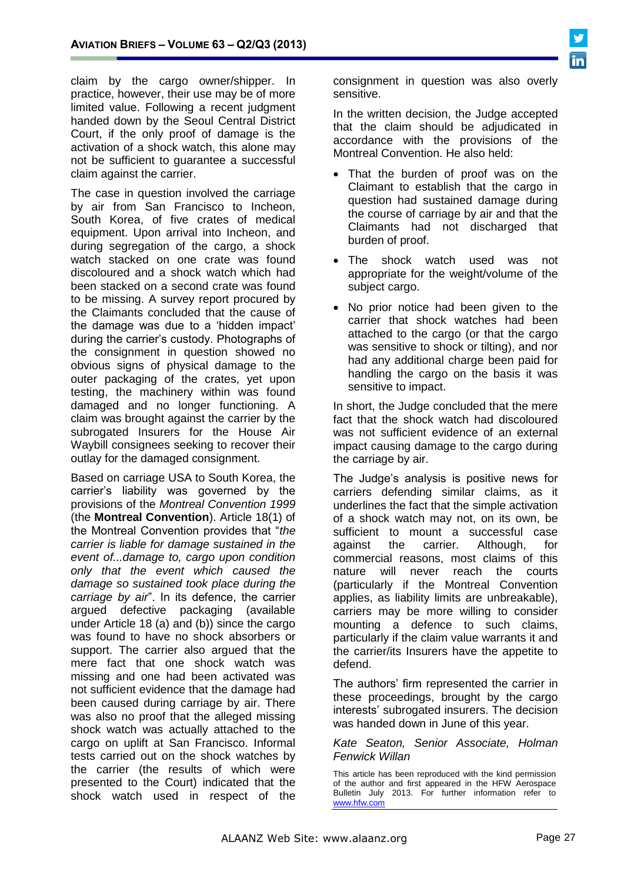claim by the cargo owner/shipper. In practice, however, their use may be of more limited value. Following a recent judgment handed down by the Seoul Central District Court, if the only proof of damage is the activation of a shock watch, this alone may not be sufficient to guarantee a successful claim against the carrier.

The case in question involved the carriage by air from San Francisco to Incheon, South Korea, of five crates of medical equipment. Upon arrival into Incheon, and during segregation of the cargo, a shock watch stacked on one crate was found discoloured and a shock watch which had been stacked on a second crate was found to be missing. A survey report procured by the Claimants concluded that the cause of the damage was due to a 'hidden impact' during the carrier's custody. Photographs of the consignment in question showed no obvious signs of physical damage to the outer packaging of the crates, yet upon testing, the machinery within was found damaged and no longer functioning. A claim was brought against the carrier by the subrogated Insurers for the House Air Waybill consignees seeking to recover their outlay for the damaged consignment.

Based on carriage USA to South Korea, the carrier's liability was governed by the provisions of the *Montreal Convention 1999* (the **Montreal Convention**). Article 18(1) of the Montreal Convention provides that "*the carrier is liable for damage sustained in the event of...damage to, cargo upon condition only that the event which caused the damage so sustained took place during the carriage by air*". In its defence, the carrier argued defective packaging (available under Article 18 (a) and (b)) since the cargo was found to have no shock absorbers or support. The carrier also argued that the mere fact that one shock watch was missing and one had been activated was not sufficient evidence that the damage had been caused during carriage by air. There was also no proof that the alleged missing shock watch was actually attached to the cargo on uplift at San Francisco. Informal tests carried out on the shock watches by the carrier (the results of which were presented to the Court) indicated that the shock watch used in respect of the

consignment in question was also overly sensitive.

In the written decision, the Judge accepted that the claim should be adjudicated in accordance with the provisions of the Montreal Convention. He also held:

- That the burden of proof was on the Claimant to establish that the cargo in question had sustained damage during the course of carriage by air and that the Claimants had not discharged that burden of proof.
- The shock watch used was not appropriate for the weight/volume of the subject cargo.
- No prior notice had been given to the carrier that shock watches had been attached to the cargo (or that the cargo was sensitive to shock or tilting), and nor had any additional charge been paid for handling the cargo on the basis it was sensitive to impact.

In short, the Judge concluded that the mere fact that the shock watch had discoloured was not sufficient evidence of an external impact causing damage to the cargo during the carriage by air.

The Judge's analysis is positive news for carriers defending similar claims, as it underlines the fact that the simple activation of a shock watch may not, on its own, be sufficient to mount a successful case against the carrier. Although, for commercial reasons, most claims of this nature will never reach the courts (particularly if the Montreal Convention applies, as liability limits are unbreakable), carriers may be more willing to consider mounting a defence to such claims, particularly if the claim value warrants it and the carrier/its Insurers have the appetite to defend.

The authors' firm represented the carrier in these proceedings, brought by the cargo interests' subrogated insurers. The decision was handed down in June of this year.

*Kate Seaton, Senior Associate, Holman Fenwick Willan*

This article has been reproduced with the kind permission of the author and first appeared in the HFW Aerospace Bulletin July 2013. For further information refer to [www.hfw.com](http://www.hfw.com/)